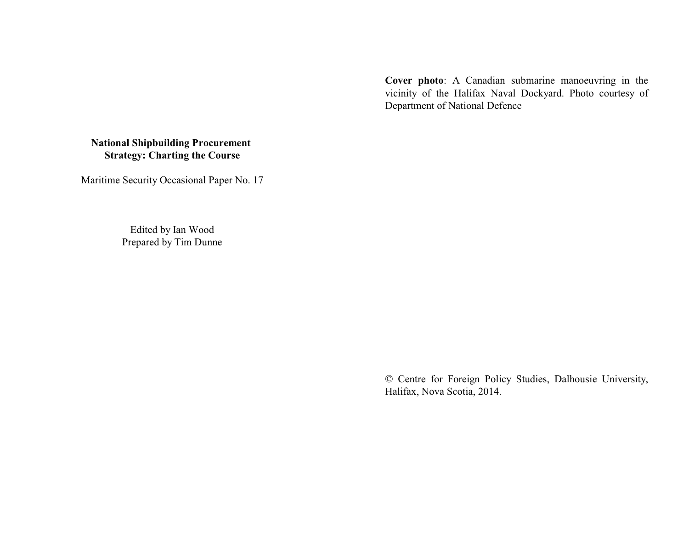**Cover photo**: A Canadian submarine manoeuvring in the vicinity of the Halifax Naval Dockyard. Photo courtesy of Department of National Defence

# **National Shipbuilding Procurement Strategy: Charting the Course**

Maritime Security Occasional Paper No. 17

Edited by Ian Wood Prepared by Tim Dunne

> © Centre for Foreign Policy Studies, Dalhousie University, Halifax, Nova Scotia, 2014.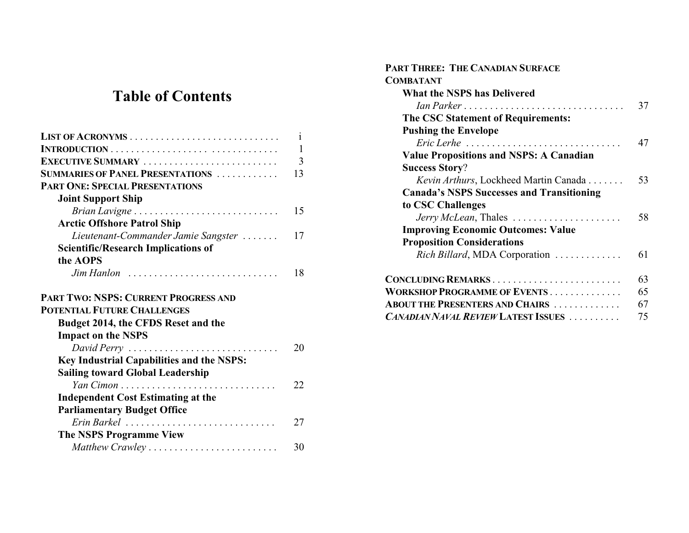# **Table of Contents**

|                                               | 1              |
|-----------------------------------------------|----------------|
|                                               | 1              |
| EXECUTIVE SUMMARY                             | $\overline{3}$ |
| <b>SUMMARIES OF PANEL PRESENTATIONS </b>      | 13             |
| <b>PART ONE: SPECIAL PRESENTATIONS</b>        |                |
| <b>Joint Support Ship</b>                     |                |
| Brian Lavigne                                 | 15             |
| <b>Arctic Offshore Patrol Ship</b>            |                |
| Lieutenant-Commander Jamie Sangster           | 17             |
| <b>Scientific/Research Implications of</b>    |                |
| the AOPS                                      |                |
| $\lim$ Hanlon                                 | 18             |
| <b>PART TWO: NSPS: CURRENT PROGRESS AND</b>   |                |
| <b>POTENTIAL FUTURE CHALLENGES</b>            |                |
| Budget 2014, the CFDS Reset and the           |                |
| <b>Impact on the NSPS</b>                     |                |
| David Perry                                   | 20             |
| Key Industrial Capabilities and the NSPS:     |                |
| <b>Sailing toward Global Leadership</b>       |                |
| Yan Cimon                                     | 22             |
| <b>Independent Cost Estimating at the</b>     |                |
|                                               |                |
| <b>Parliamentary Budget Office</b>            |                |
|                                               | 27             |
| Erin Barkel<br><b>The NSPS Programme View</b> |                |

| <b>PART THREE: THE CANADIAN SURFACE</b>                                  |    |  |
|--------------------------------------------------------------------------|----|--|
| <b>COMBATANT</b>                                                         |    |  |
| <b>What the NSPS has Delivered</b>                                       |    |  |
| Ian Parker                                                               | 37 |  |
| The CSC Statement of Requirements:                                       |    |  |
| <b>Pushing the Envelope</b>                                              |    |  |
| $Eric~Lerhe$                                                             | 47 |  |
| <b>Value Propositions and NSPS: A Canadian</b>                           |    |  |
| <b>Success Story?</b>                                                    |    |  |
| Kevin Arthurs, Lockheed Martin Canada                                    | 53 |  |
| <b>Canada's NSPS Successes and Transitioning</b>                         |    |  |
| to CSC Challenges                                                        |    |  |
| <i>Jerry McLean</i> , Thales $\ldots \ldots \ldots \ldots \ldots \ldots$ | 58 |  |
| <b>Improving Economic Outcomes: Value</b>                                |    |  |
| <b>Proposition Considerations</b>                                        |    |  |
| Rich Billard, MDA Corporation                                            | 61 |  |
| CONCLUDING REMARKS                                                       | 63 |  |
| <b>WORKSHOP PROGRAMME OF EVENTS</b>                                      | 65 |  |
| <b>ABOUT THE PRESENTERS AND CHAIRS</b>                                   | 67 |  |
| <b>CANADIAN NAVAL REVIEW LATEST ISSUES</b>                               | 75 |  |
|                                                                          |    |  |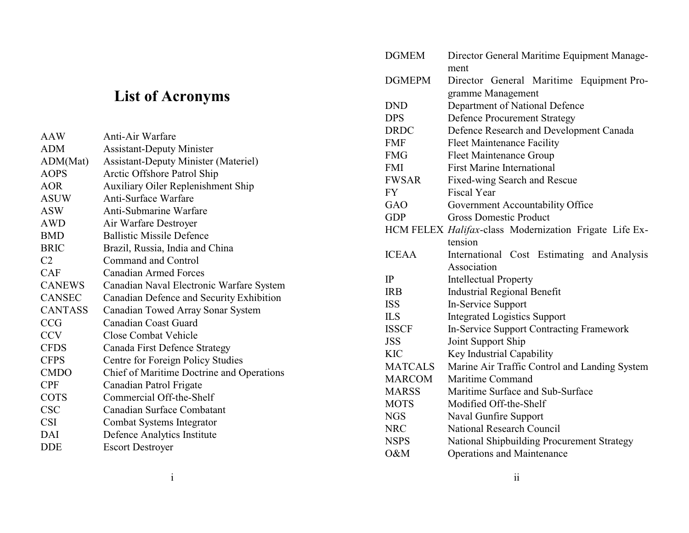# **List of Acronyms**

| <b>AAW</b>     | Anti-Air Warfare                            |
|----------------|---------------------------------------------|
| <b>ADM</b>     | <b>Assistant-Deputy Minister</b>            |
| ADM(Mat)       | <b>Assistant-Deputy Minister (Materiel)</b> |
| <b>AOPS</b>    | Arctic Offshore Patrol Ship                 |
| <b>AOR</b>     | <b>Auxiliary Oiler Replenishment Ship</b>   |
| ASUW           | <b>Anti-Surface Warfare</b>                 |
| <b>ASW</b>     | Anti-Submarine Warfare                      |
| AWD            | Air Warfare Destroyer                       |
| <b>BMD</b>     | <b>Ballistic Missile Defence</b>            |
| <b>BRIC</b>    | Brazil, Russia, India and China             |
| C <sub>2</sub> | Command and Control                         |
| <b>CAF</b>     | <b>Canadian Armed Forces</b>                |
| <b>CANEWS</b>  | Canadian Naval Electronic Warfare System    |
| <b>CANSEC</b>  | Canadian Defence and Security Exhibition    |
| <b>CANTASS</b> | Canadian Towed Array Sonar System           |
| <b>CCG</b>     | Canadian Coast Guard                        |
| <b>CCV</b>     | <b>Close Combat Vehicle</b>                 |
| <b>CFDS</b>    | Canada First Defence Strategy               |
| <b>CFPS</b>    | Centre for Foreign Policy Studies           |
| <b>CMDO</b>    | Chief of Maritime Doctrine and Operations   |
| <b>CPF</b>     | Canadian Patrol Frigate                     |
| <b>COTS</b>    | Commercial Off-the-Shelf                    |
| <b>CSC</b>     | Canadian Surface Combatant                  |
| <b>CSI</b>     | Combat Systems Integrator                   |
| DAI            | Defence Analytics Institute                 |
| <b>DDE</b>     | <b>Escort Destroyer</b>                     |
|                |                                             |

| <b>DGMEM</b>   | Director General Maritime Equipment Manage-            |  |  |
|----------------|--------------------------------------------------------|--|--|
|                | ment                                                   |  |  |
| <b>DGMEPM</b>  | Director General Maritime Equipment Pro-               |  |  |
|                | gramme Management                                      |  |  |
| <b>DND</b>     | Department of National Defence                         |  |  |
| <b>DPS</b>     | <b>Defence Procurement Strategy</b>                    |  |  |
| <b>DRDC</b>    | Defence Research and Development Canada                |  |  |
| <b>FMF</b>     | <b>Fleet Maintenance Facility</b>                      |  |  |
| <b>FMG</b>     | <b>Fleet Maintenance Group</b>                         |  |  |
| <b>FMI</b>     | <b>First Marine International</b>                      |  |  |
| <b>FWSAR</b>   | Fixed-wing Search and Rescue                           |  |  |
| <b>FY</b>      | <b>Fiscal Year</b>                                     |  |  |
| GAO            | Government Accountability Office                       |  |  |
| <b>GDP</b>     | <b>Gross Domestic Product</b>                          |  |  |
|                | HCM FELEX Halifax-class Modernization Frigate Life Ex- |  |  |
|                | tension                                                |  |  |
| <b>ICEAA</b>   | International Cost Estimating and Analysis             |  |  |
|                | Association                                            |  |  |
| IP             | <b>Intellectual Property</b>                           |  |  |
| <b>IRB</b>     | <b>Industrial Regional Benefit</b>                     |  |  |
| <b>ISS</b>     | In-Service Support                                     |  |  |
| <b>ILS</b>     | <b>Integrated Logistics Support</b>                    |  |  |
| <b>ISSCF</b>   | <b>In-Service Support Contracting Framework</b>        |  |  |
| <b>JSS</b>     | Joint Support Ship                                     |  |  |
| <b>KIC</b>     | Key Industrial Capability                              |  |  |
| <b>MATCALS</b> | Marine Air Traffic Control and Landing System          |  |  |
| <b>MARCOM</b>  | Maritime Command                                       |  |  |
| <b>MARSS</b>   | Maritime Surface and Sub-Surface                       |  |  |
| <b>MOTS</b>    | Modified Off-the-Shelf                                 |  |  |
| <b>NGS</b>     | <b>Naval Gunfire Support</b>                           |  |  |
| <b>NRC</b>     | <b>National Research Council</b>                       |  |  |
| <b>NSPS</b>    | National Shipbuilding Procurement Strategy             |  |  |
| O&M            | <b>Operations and Maintenance</b>                      |  |  |
|                |                                                        |  |  |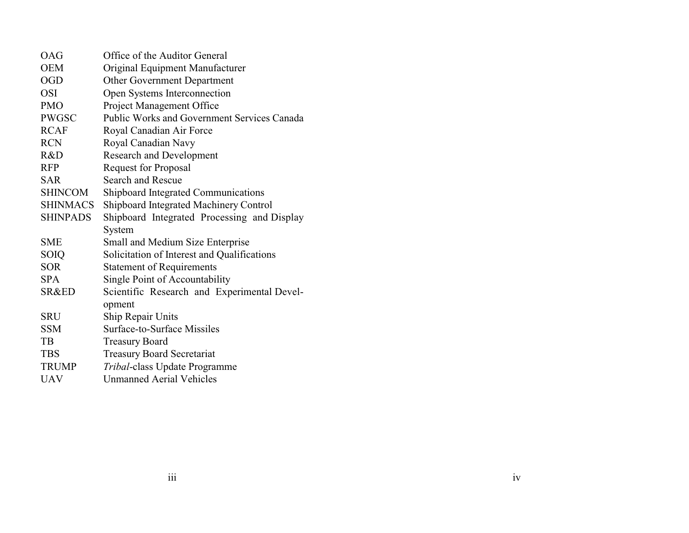| OAG              | Office of the Auditor General               |  |
|------------------|---------------------------------------------|--|
| <b>OEM</b>       | Original Equipment Manufacturer             |  |
| <b>OGD</b>       | <b>Other Government Department</b>          |  |
| <b>OSI</b>       | Open Systems Interconnection                |  |
| <b>PMO</b>       | <b>Project Management Office</b>            |  |
| <b>PWGSC</b>     | Public Works and Government Services Canada |  |
| <b>RCAF</b>      | Royal Canadian Air Force                    |  |
| <b>RCN</b>       | Royal Canadian Navy                         |  |
| R&D              | <b>Research and Development</b>             |  |
| <b>RFP</b>       | <b>Request for Proposal</b>                 |  |
| <b>SAR</b>       | <b>Search and Rescue</b>                    |  |
| <b>SHINCOM</b>   | <b>Shipboard Integrated Communications</b>  |  |
| <b>SHINMACS</b>  | Shipboard Integrated Machinery Control      |  |
| <b>SHINPADS</b>  | Shipboard Integrated Processing and Display |  |
|                  | System                                      |  |
| <b>SME</b>       | Small and Medium Size Enterprise            |  |
| <b>SOIQ</b>      | Solicitation of Interest and Qualifications |  |
| <b>SOR</b>       | <b>Statement of Requirements</b>            |  |
| <b>SPA</b>       | Single Point of Accountability              |  |
| <b>SR&amp;ED</b> | Scientific Research and Experimental Devel- |  |
|                  | opment                                      |  |
| SRU              | <b>Ship Repair Units</b>                    |  |
| <b>SSM</b>       | Surface-to-Surface Missiles                 |  |
| TB               | <b>Treasury Board</b>                       |  |
| <b>TBS</b>       | <b>Treasury Board Secretariat</b>           |  |
| <b>TRUMP</b>     | Tribal-class Update Programme               |  |
| <b>UAV</b>       | <b>Unmanned Aerial Vehicles</b>             |  |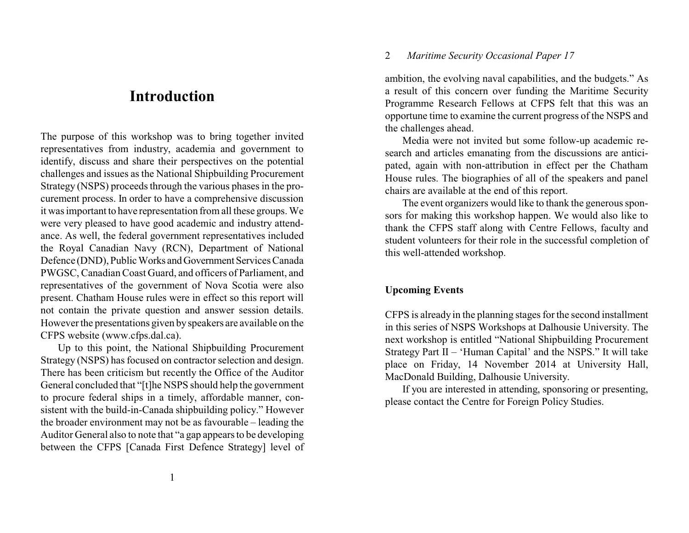# **Introduction**

The purpose of this workshop was to bring together invited representatives from industry, academia and government to identify, discuss and share their perspectives on the potential challenges and issues as the National Shipbuilding Procurement Strategy (NSPS) proceeds through the various phases in the procurement process. In order to have a comprehensive discussion it was important to have representation from all these groups. We were very pleased to have good academic and industry attendance. As well, the federal government representatives included the Royal Canadian Navy (RCN), Department of National Defence (DND), Public Works and Government Services Canada PWGSC, Canadian Coast Guard, and officers of Parliament, and representatives of the government of Nova Scotia were also present. Chatham House rules were in effect so this report will not contain the private question and answer session details. However the presentations given byspeakers are available on the CFPS website (www.cfps.dal.ca).

Up to this point, the National Shipbuilding Procurement Strategy (NSPS) has focused on contractor selection and design. There has been criticism but recently the Office of the Auditor General concluded that "[t]he NSPS should help the government to procure federal ships in a timely, affordable manner, consistent with the build-in-Canada shipbuilding policy." However the broader environment may not be as favourable – leading the Auditor General also to note that "a gap appears to be developing between the CFPS [Canada First Defence Strategy] level of

# 2 *Maritime Security Occasional Paper 17*

ambition, the evolving naval capabilities, and the budgets." As a result of this concern over funding the Maritime Security Programme Research Fellows at CFPS felt that this was an opportune time to examine the current progress of the NSPS and the challenges ahead.

Media were not invited but some follow-up academic research and articles emanating from the discussions are anticipated, again with non-attribution in effect per the Chatham House rules. The biographies of all of the speakers and panel chairs are available at the end of this report.

The event organizers would like to thank the generous sponsors for making this workshop happen. We would also like to thank the CFPS staff along with Centre Fellows, faculty and student volunteers for their role in the successful completion of this well-attended workshop.

# **Upcoming Events**

CFPS is already in the planning stages for the second installment in this series of NSPS Workshops at Dalhousie University. The next workshop is entitled "National Shipbuilding Procurement Strategy Part  $II$  – 'Human Capital' and the NSPS." It will take place on Friday, 14 November 2014 at University Hall, MacDonald Building, Dalhousie University.

If you are interested in attending, sponsoring or presenting, please contact the Centre for Foreign Policy Studies.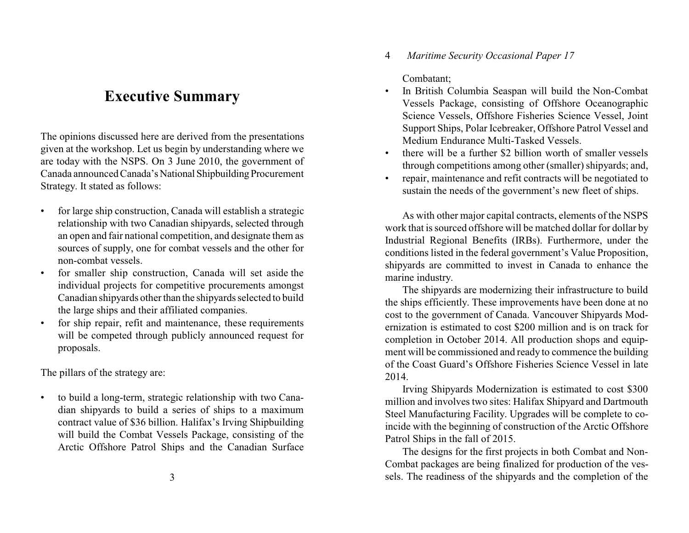# **Executive Summary**

The opinions discussed here are derived from the presentations given at the workshop. Let us begin by understanding where we are today with the NSPS. On 3 June 2010, the government of Canada announced Canada's National Shipbuilding Procurement Strategy. It stated as follows:

- for large ship construction, Canada will establish a strategic relationship with two Canadian shipyards, selected through an open and fair national competition, and designate them as sources of supply, one for combat vessels and the other for non-combat vessels.
- for smaller ship construction, Canada will set aside the individual projects for competitive procurements amongst Canadian shipyards other than the shipyards selected to build the large ships and their affiliated companies.
- for ship repair, refit and maintenance, these requirements will be competed through publicly announced request for proposals.

The pillars of the strategy are:

• to build a long-term, strategic relationship with two Canadian shipyards to build a series of ships to a maximum contract value of \$36 billion. Halifax's Irving Shipbuilding will build the Combat Vessels Package, consisting of the Arctic Offshore Patrol Ships and the Canadian Surface 4 *Maritime Security Occasional Paper 17*

Combatant;

- In British Columbia Seaspan will build the Non-Combat Vessels Package, consisting of Offshore Oceanographic Science Vessels, Offshore Fisheries Science Vessel, Joint Support Ships, Polar Icebreaker, Offshore Patrol Vessel and Medium Endurance Multi-Tasked Vessels.
- there will be a further \$2 billion worth of smaller vessels through competitions among other (smaller) shipyards; and,
- repair, maintenance and refit contracts will be negotiated to sustain the needs of the government's new fleet of ships.

As with other major capital contracts, elements of the NSPS work that is sourced offshore will be matched dollar for dollar by Industrial Regional Benefits (IRBs). Furthermore, under the conditions listed in the federal government's Value Proposition, shipyards are committed to invest in Canada to enhance the marine industry.

The shipyards are modernizing their infrastructure to build the ships efficiently. These improvements have been done at no cost to the government of Canada. Vancouver Shipyards Modernization is estimated to cost \$200 million and is on track for completion in October 2014. All production shops and equipment will be commissioned and ready to commence the building of the Coast Guard's Offshore Fisheries Science Vessel in late 2014.

Irving Shipyards Modernization is estimated to cost \$300 million and involves two sites: Halifax Shipyard and Dartmouth Steel Manufacturing Facility. Upgrades will be complete to coincide with the beginning of construction of the Arctic Offshore Patrol Ships in the fall of 2015.

The designs for the first projects in both Combat and Non-Combat packages are being finalized for production of the vessels. The readiness of the shipyards and the completion of the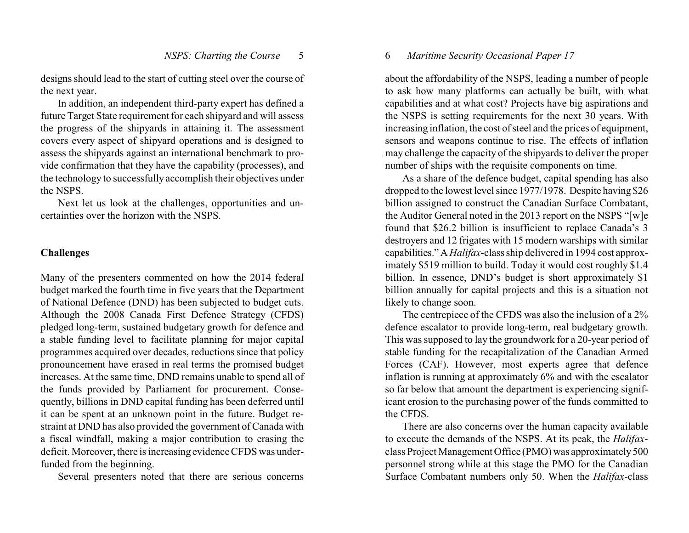designs should lead to the start of cutting steel over the course of the next year.

In addition, an independent third-party expert has defined a future Target State requirement for each shipyard and will assess the progress of the shipyards in attaining it. The assessment covers every aspect of shipyard operations and is designed to assess the shipyards against an international benchmark to provide confirmation that they have the capability (processes), and the technology to successfully accomplish their objectives under the NSPS.

Next let us look at the challenges, opportunities and uncertainties over the horizon with the NSPS.

## **Challenges**

Many of the presenters commented on how the 2014 federal budget marked the fourth time in five years that the Department of National Defence (DND) has been subjected to budget cuts. Although the 2008 Canada First Defence Strategy (CFDS) pledged long-term, sustained budgetary growth for defence and a stable funding level to facilitate planning for major capital programmes acquired over decades, reductions since that policy pronouncement have erased in real terms the promised budget increases. At the same time, DND remains unable to spend all of the funds provided by Parliament for procurement. Consequently, billions in DND capital funding has been deferred until it can be spent at an unknown point in the future. Budget restraint at DND has also provided the government of Canada with a fiscal windfall, making a major contribution to erasing the deficit. Moreover, there is increasing evidence CFDS was underfunded from the beginning.

Several presenters noted that there are serious concerns

### 6 *Maritime Security Occasional Paper 17*

about the affordability of the NSPS, leading a number of people to ask how many platforms can actually be built, with what capabilities and at what cost? Projects have big aspirations and the NSPS is setting requirements for the next 30 years. With increasing inflation, the cost of steel and the prices of equipment, sensors and weapons continue to rise. The effects of inflation may challenge the capacity of the shipyards to deliver the proper number of ships with the requisite components on time.

As a share of the defence budget, capital spending has also dropped to the lowest level since 1977/1978. Despite having \$26 billion assigned to construct the Canadian Surface Combatant, the Auditor General noted in the 2013 report on the NSPS "[w]e found that \$26.2 billion is insufficient to replace Canada's 3 destroyers and 12 frigates with 15 modern warships with similar capabilities." A *Halifax*-class ship delivered in 1994 cost approximately \$519 million to build. Today it would cost roughly \$1.4 billion. In essence, DND's budget is short approximately \$1 billion annually for capital projects and this is a situation not likely to change soon.

The centrepiece of the CFDS was also the inclusion of a 2% defence escalator to provide long-term, real budgetary growth. This was supposed to lay the groundwork for a 20-year period of stable funding for the recapitalization of the Canadian Armed Forces (CAF). However, most experts agree that defence inflation is running at approximately 6% and with the escalator so far below that amount the department is experiencing significant erosion to the purchasing power of the funds committed to the CFDS.

There are also concerns over the human capacity available to execute the demands of the NSPS. At its peak, the *Halifax*class Project Management Office (PMO) was approximately500 personnel strong while at this stage the PMO for the Canadian Surface Combatant numbers only 50. When the *Halifax*-class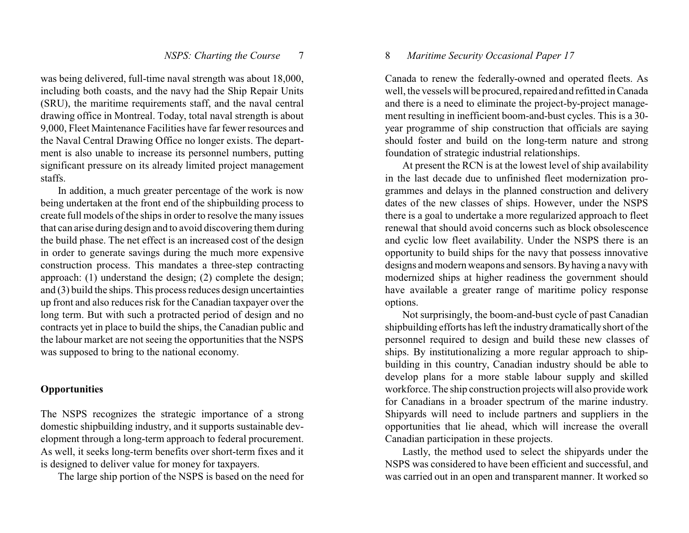was being delivered, full-time naval strength was about 18,000, including both coasts, and the navy had the Ship Repair Units (SRU), the maritime requirements staff, and the naval central drawing office in Montreal. Today, total naval strength is about 9,000, Fleet Maintenance Facilities have far fewer resources and the Naval Central Drawing Office no longer exists. The department is also unable to increase its personnel numbers, putting significant pressure on its already limited project management staffs.

In addition, a much greater percentage of the work is now being undertaken at the front end of the shipbuilding process to create full models of the ships in order to resolve the many issues that can arise during design and to avoid discovering them during the build phase. The net effect is an increased cost of the design in order to generate savings during the much more expensive construction process. This mandates a three-step contracting approach: (1) understand the design; (2) complete the design; and (3) build the ships. This process reduces design uncertainties up front and also reduces risk for the Canadian taxpayer over the long term. But with such a protracted period of design and no contracts yet in place to build the ships, the Canadian public and the labour market are not seeing the opportunities that the NSPS was supposed to bring to the national economy.

#### **Opportunities**

The NSPS recognizes the strategic importance of a strong domestic shipbuilding industry, and it supports sustainable development through a long-term approach to federal procurement. As well, it seeks long-term benefits over short-term fixes and it is designed to deliver value for money for taxpayers.

The large ship portion of the NSPS is based on the need for

### 8 *Maritime Security Occasional Paper 17*

Canada to renew the federally-owned and operated fleets. As well, the vessels will be procured, repaired and refitted in Canada and there is a need to eliminate the project-by-project management resulting in inefficient boom-and-bust cycles. This is a 30 year programme of ship construction that officials are saying should foster and build on the long-term nature and strong foundation of strategic industrial relationships.

At present the RCN is at the lowest level of ship availability in the last decade due to unfinished fleet modernization programmes and delays in the planned construction and delivery dates of the new classes of ships. However, under the NSPS there is a goal to undertake a more regularized approach to fleet renewal that should avoid concerns such as block obsolescence and cyclic low fleet availability. Under the NSPS there is an opportunity to build ships for the navy that possess innovative designs and modern weapons and sensors. By having a navywith modernized ships at higher readiness the government should have available a greater range of maritime policy response options.

Not surprisingly, the boom-and-bust cycle of past Canadian shipbuilding efforts has left the industry dramaticallyshort of the personnel required to design and build these new classes of ships. By institutionalizing a more regular approach to shipbuilding in this country, Canadian industry should be able to develop plans for a more stable labour supply and skilled workforce. The ship construction projects will also provide work for Canadians in a broader spectrum of the marine industry. Shipyards will need to include partners and suppliers in the opportunities that lie ahead, which will increase the overall Canadian participation in these projects.

Lastly, the method used to select the shipyards under the NSPS was considered to have been efficient and successful, and was carried out in an open and transparent manner. It worked so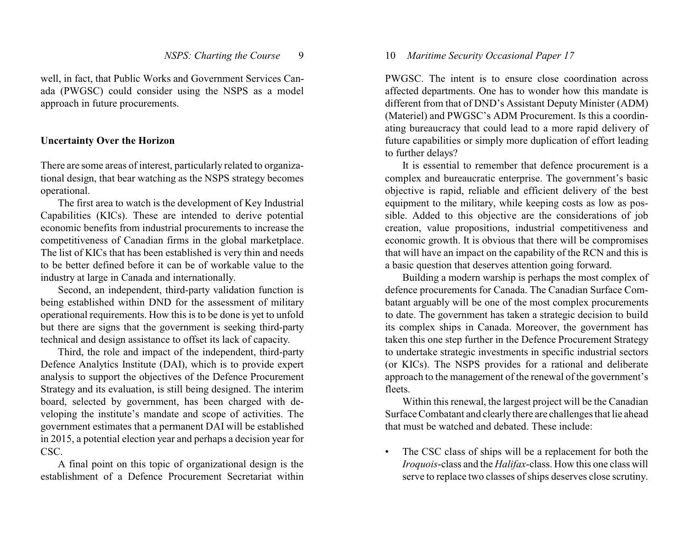well, in fact, that Public Works and Government Services Canada (PWGSC) could consider using the NSPS as a model approach in future procurements.

# **Uncertainty Over the Horizon**

There are some areas of interest, particularly related to organizational design, that bear watching as the NSPS strategy becomes operational.

The first area to watch is the development of Key Industrial Capabilities (KICs). These are intended to derive potential economic benefits from industrial procurements to increase the competitiveness of Canadian firms in the global marketplace. The list of KICs that has been established is very thin and needs to be better defined before it can be of workable value to the industry at large in Canada and internationally.

Second, an independent, third-party validation function is being established within DND for the assessment of military operational requirements. How this is to be done is yet to unfold but there are signs that the government is seeking third-party technical and design assistance to offset its lack of capacity.

Third, the role and impact of the independent, third-party Defence Analytics Institute (DAI), which is to provide expert analysis to support the objectives of the Defence Procurement Strategy and its evaluation, is still being designed. The interim board, selected by government, has been charged with developing the institute's mandate and scope of activities. The government estimates that a permanent DAI will be established in 2015, a potential election year and perhaps a decision year for CSC.

A final point on this topic of organizational design is the establishment of a Defence Procurement Secretariat within

# 10 *Maritime Security Occasional Paper 17*

PWGSC. The intent is to ensure close coordination across affected departments. One has to wonder how this mandate is different from that of DND's Assistant Deputy Minister (ADM) (Materiel) and PWGSC's ADM Procurement. Is this a coordinating bureaucracy that could lead to a more rapid delivery of future capabilities or simply more duplication of effort leading to further delays?

It is essential to remember that defence procurement is a complex and bureaucratic enterprise. The government's basic objective is rapid, reliable and efficient delivery of the best equipment to the military, while keeping costs as low as possible. Added to this objective are the considerations of job creation, value propositions, industrial competitiveness and economic growth. It is obvious that there will be compromises that will have an impact on the capability of the RCN and this is a basic question that deserves attention going forward.

Building a modern warship is perhaps the most complex of defence procurements for Canada. The Canadian Surface Combatant arguably will be one of the most complex procurements to date. The government has taken a strategic decision to build its complex ships in Canada. Moreover, the government has taken this one step further in the Defence Procurement Strategy to undertake strategic investments in specific industrial sectors (or KICs). The NSPS provides for a rational and deliberate approach to the management of the renewal of the government's fleets.

Within this renewal, the largest project will be the Canadian Surface Combatant and clearlythere are challenges that lie ahead that must be watched and debated. These include:

• The CSC class of ships will be a replacement for both the *Iroquois*-class and the *Halifax*-class. How this one class will serve to replace two classes of ships deserves close scrutiny.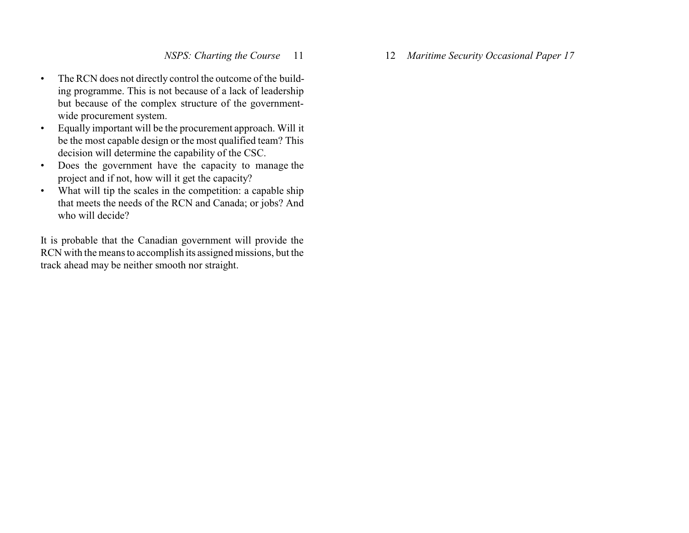- The RCN does not directly control the outcome of the building programme. This is not because of a lack of leadership but because of the complex structure of the governmentwide procurement system.
- Equally important will be the procurement approach. Will it be the most capable design or the most qualified team? This decision will determine the capability of the CSC.
- Does the government have the capacity to manage the project and if not, how will it get the capacity?
- What will tip the scales in the competition: a capable ship that meets the needs of the RCN and Canada; or jobs? And who will decide?

It is probable that the Canadian government will provide the RCN with the means to accomplish its assigned missions, but the track ahead may be neither smooth nor straight.

12 *Maritime Security Occasional Paper 17*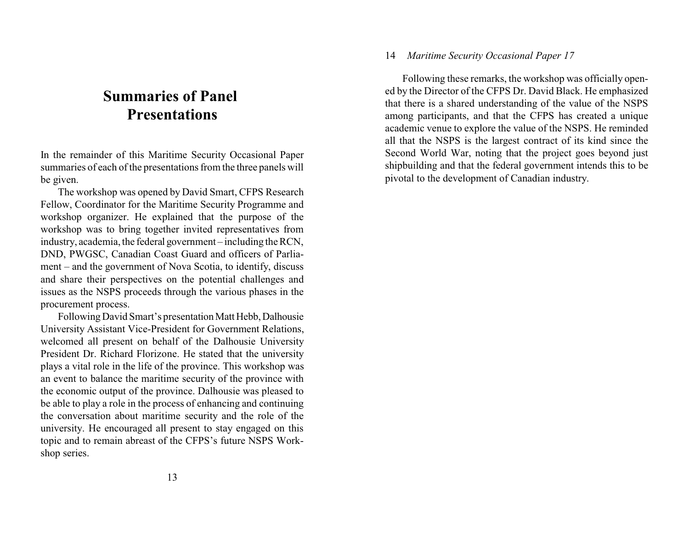# **Summaries of Panel Presentations**

In the remainder of this Maritime Security Occasional Paper summaries of each of the presentations from the three panels will be given.

The workshop was opened by David Smart, CFPS Research Fellow, Coordinator for the Maritime Security Programme and workshop organizer. He explained that the purpose of the workshop was to bring together invited representatives from industry, academia, the federal government – including the RCN, DND, PWGSC, Canadian Coast Guard and officers of Parliament – and the government of Nova Scotia, to identify, discuss and share their perspectives on the potential challenges and issues as the NSPS proceeds through the various phases in the procurement process.

Following David Smart's presentation Matt Hebb, Dalhousie University Assistant Vice-President for Government Relations, welcomed all present on behalf of the Dalhousie University President Dr. Richard Florizone. He stated that the university plays a vital role in the life of the province. This workshop was an event to balance the maritime security of the province with the economic output of the province. Dalhousie was pleased to be able to play a role in the process of enhancing and continuing the conversation about maritime security and the role of the university. He encouraged all present to stay engaged on this topic and to remain abreast of the CFPS's future NSPS Workshop series.

# 14 *Maritime Security Occasional Paper 17*

Following these remarks, the workshop was officially opened by the Director of the CFPS Dr. David Black. He emphasized that there is a shared understanding of the value of the NSPS among participants, and that the CFPS has created a unique academic venue to explore the value of the NSPS. He reminded all that the NSPS is the largest contract of its kind since the Second World War, noting that the project goes beyond just shipbuilding and that the federal government intends this to be pivotal to the development of Canadian industry.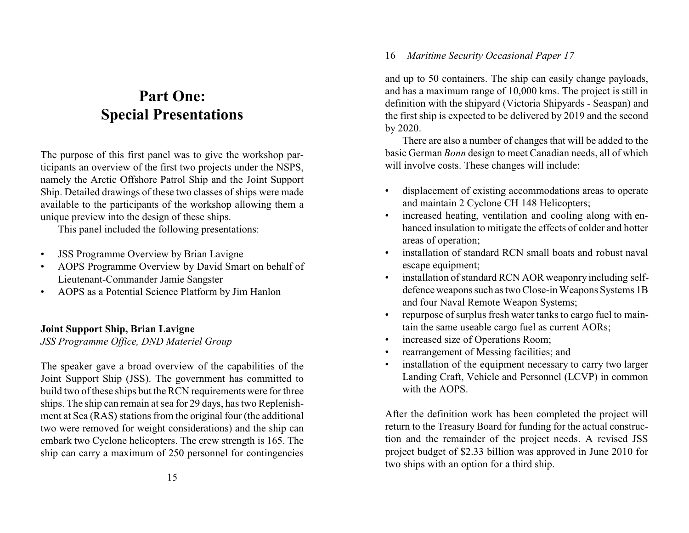# **Part One: Special Presentations**

The purpose of this first panel was to give the workshop participants an overview of the first two projects under the NSPS, namely the Arctic Offshore Patrol Ship and the Joint Support Ship. Detailed drawings of these two classes of ships were made available to the participants of the workshop allowing them a unique preview into the design of these ships.

This panel included the following presentations:

- JSS Programme Overview by Brian Lavigne
- AOPS Programme Overview by David Smart on behalf of Lieutenant-Commander Jamie Sangster
- AOPS as a Potential Science Platform by Jim Hanlon

# **Joint Support Ship, Brian Lavigne**

*JSS Programme Office, DND Materiel Group*

The speaker gave a broad overview of the capabilities of the Joint Support Ship (JSS). The government has committed to build two of these ships but the RCN requirements were for three ships. The ship can remain at sea for 29 days, has two Replenishment at Sea (RAS) stations from the original four (the additional two were removed for weight considerations) and the ship can embark two Cyclone helicopters. The crew strength is 165. The ship can carry a maximum of 250 personnel for contingencies and up to 50 containers. The ship can easily change payloads, and has a maximum range of 10,000 kms. The project is still in definition with the shipyard (Victoria Shipyards - Seaspan) and the first ship is expected to be delivered by 2019 and the second by 2020.

There are also a number of changes that will be added to the basic German *Bonn* design to meet Canadian needs, all of which will involve costs. These changes will include:

- displacement of existing accommodations areas to operate and maintain 2 Cyclone CH 148 Helicopters;
- increased heating, ventilation and cooling along with enhanced insulation to mitigate the effects of colder and hotter areas of operation;
- installation of standard RCN small boats and robust naval escape equipment;
- installation of standard RCN AOR weaponry including selfdefence weapons such as two Close-in Weapons Systems 1B and four Naval Remote Weapon Systems;
- repurpose of surplus fresh water tanks to cargo fuel to maintain the same useable cargo fuel as current AORs;
- increased size of Operations Room;
- rearrangement of Messing facilities; and
- installation of the equipment necessary to carry two larger Landing Craft, Vehicle and Personnel (LCVP) in common with the AOPS.

After the definition work has been completed the project will return to the Treasury Board for funding for the actual construction and the remainder of the project needs. A revised JSS project budget of \$2.33 billion was approved in June 2010 for two ships with an option for a third ship.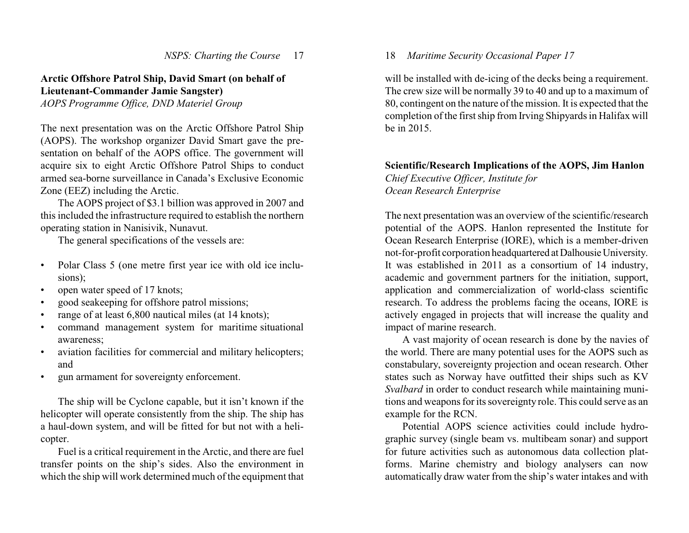# **Arctic Offshore Patrol Ship, David Smart (on behalf of Lieutenant-Commander Jamie Sangster)**

*AOPS Programme Office, DND Materiel Group*

The next presentation was on the Arctic Offshore Patrol Ship (AOPS). The workshop organizer David Smart gave the presentation on behalf of the AOPS office. The government will acquire six to eight Arctic Offshore Patrol Ships to conduct armed sea-borne surveillance in Canada's Exclusive Economic Zone (EEZ) including the Arctic.

The AOPS project of \$3.1 billion was approved in 2007 and this included the infrastructure required to establish the northern operating station in Nanisivik, Nunavut.

The general specifications of the vessels are:

- Polar Class 5 (one metre first year ice with old ice inclusions);
- open water speed of 17 knots;
- good seakeeping for offshore patrol missions;
- range of at least 6,800 nautical miles (at 14 knots);
- command management system for maritime situational awareness;
- aviation facilities for commercial and military helicopters; and
- gun armament for sovereignty enforcement.

The ship will be Cyclone capable, but it isn't known if the helicopter will operate consistently from the ship. The ship has a haul-down system, and will be fitted for but not with a helicopter.

Fuel is a critical requirement in the Arctic, and there are fuel transfer points on the ship's sides. Also the environment in which the ship will work determined much of the equipment that

# 18 *Maritime Security Occasional Paper 17*

will be installed with de-icing of the decks being a requirement. The crew size will be normally 39 to 40 and up to a maximum of 80, contingent on the nature of the mission. It is expected that the completion of the first ship from Irving Shipyards in Halifax will be in 2015.

# **Scientific/Research Implications of the AOPS, Jim Hanlon** *Chief Executive Officer, Institute for Ocean Research Enterprise*

The next presentation was an overview of the scientific/research potential of the AOPS. Hanlon represented the Institute for Ocean Research Enterprise (IORE), which is a member-driven not-for-profit corporation headquartered atDalhousieUniversity. It was established in 2011 as a consortium of 14 industry, academic and government partners for the initiation, support, application and commercialization of world-class scientific research. To address the problems facing the oceans, IORE is actively engaged in projects that will increase the quality and impact of marine research.

A vast majority of ocean research is done by the navies of the world. There are many potential uses for the AOPS such as constabulary, sovereignty projection and ocean research. Other states such as Norway have outfitted their ships such as KV *Svalbard* in order to conduct research while maintaining munitions and weapons for its sovereignty role. This could serve as an example for the RCN.

Potential AOPS science activities could include hydrographic survey (single beam vs. multibeam sonar) and support for future activities such as autonomous data collection platforms. Marine chemistry and biology analysers can now automatically draw water from the ship's water intakes and with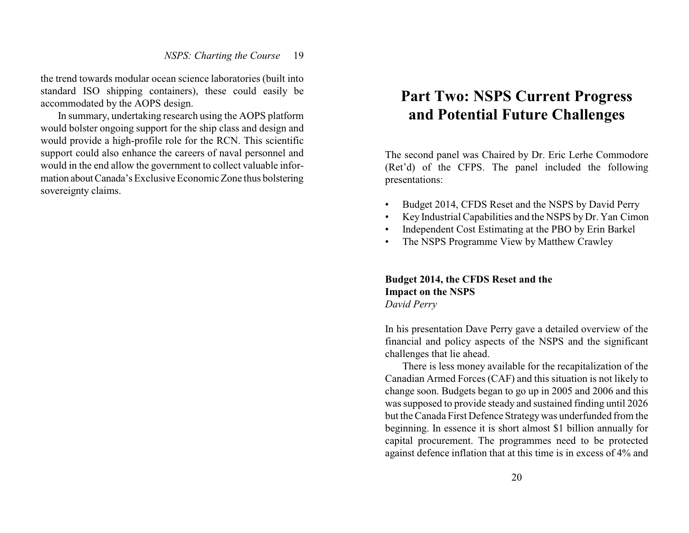the trend towards modular ocean science laboratories (built into standard ISO shipping containers), these could easily be accommodated by the AOPS design.

In summary, undertaking research using the AOPS platform would bolster ongoing support for the ship class and design and would provide a high-profile role for the RCN. This scientific support could also enhance the careers of naval personnel and would in the end allow the government to collect valuable information aboutCanada's Exclusive Economic Zone thus bolstering sovereignty claims.

# **Part Two: NSPS Current Progress and Potential Future Challenges**

The second panel was Chaired by Dr. Eric Lerhe Commodore (Ret'd) of the CFPS. The panel included the following presentations:

- Budget 2014, CFDS Reset and the NSPS by David Perry
- Key Industrial Capabilities and the NSPS by Dr. Yan Cimon
- Independent Cost Estimating at the PBO by Erin Barkel
- The NSPS Programme View by Matthew Crawley

**Budget 2014, the CFDS Reset and the Impact on the NSPS** *David Perry* 

In his presentation Dave Perry gave a detailed overview of the financial and policy aspects of the NSPS and the significant challenges that lie ahead.

There is less money available for the recapitalization of the Canadian Armed Forces (CAF) and this situation is not likely to change soon. Budgets began to go up in 2005 and 2006 and this was supposed to provide steady and sustained finding until 2026 but the Canada First Defence Strategywas underfunded from the beginning. In essence it is short almost \$1 billion annually for capital procurement. The programmes need to be protected against defence inflation that at this time is in excess of 4% and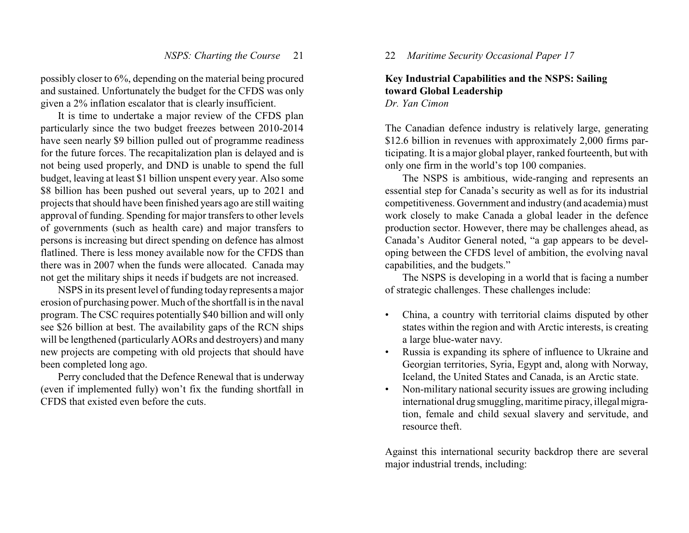possibly closer to 6%, depending on the material being procured and sustained. Unfortunately the budget for the CFDS was only given a 2% inflation escalator that is clearly insufficient.

It is time to undertake a major review of the CFDS plan particularly since the two budget freezes between 2010-2014 have seen nearly \$9 billion pulled out of programme readiness for the future forces. The recapitalization plan is delayed and is not being used properly, and DND is unable to spend the full budget, leaving at least \$1 billion unspent every year. Also some \$8 billion has been pushed out several years, up to 2021 and projects that should have been finished years ago are still waiting approval of funding. Spending for major transfers to other levels of governments (such as health care) and major transfers to persons is increasing but direct spending on defence has almost flatlined. There is less money available now for the CFDS than there was in 2007 when the funds were allocated. Canada may not get the military ships it needs if budgets are not increased.

NSPS in its present level of funding today represents amajor erosion of purchasing power. Much of the shortfall is in the naval program. The CSC requires potentially \$40 billion and will only see \$26 billion at best. The availability gaps of the RCN ships will be lengthened (particularly AORs and destroyers) and many new projects are competing with old projects that should have been completed long ago.

Perry concluded that the Defence Renewal that is underway (even if implemented fully) won't fix the funding shortfall in CFDS that existed even before the cuts.

22 *Maritime Security Occasional Paper 17*

#### **Key Industrial Capabilities and the NSPS: Sailing toward Global Leadership** *Dr. Yan Cimon*

The Canadian defence industry is relatively large, generating \$12.6 billion in revenues with approximately 2,000 firms participating. It is a major global player, ranked fourteenth, but with only one firm in the world's top 100 companies.

The NSPS is ambitious, wide-ranging and represents an essential step for Canada's security as well as for its industrial competitiveness. Government and industry (and academia) must work closely to make Canada a global leader in the defence production sector. However, there may be challenges ahead, as Canada's Auditor General noted, "a gap appears to be developing between the CFDS level of ambition, the evolving naval capabilities, and the budgets."

The NSPS is developing in a world that is facing a number of strategic challenges. These challenges include:

- China, a country with territorial claims disputed by other states within the region and with Arctic interests, is creating a large blue-water navy.
- Russia is expanding its sphere of influence to Ukraine and Georgian territories, Syria, Egypt and, along with Norway, Iceland, the United States and Canada, is an Arctic state.
- Non-military national security issues are growing including international drug smuggling, maritime piracy, illegalmigration, female and child sexual slavery and servitude, and resource theft.

Against this international security backdrop there are several major industrial trends, including: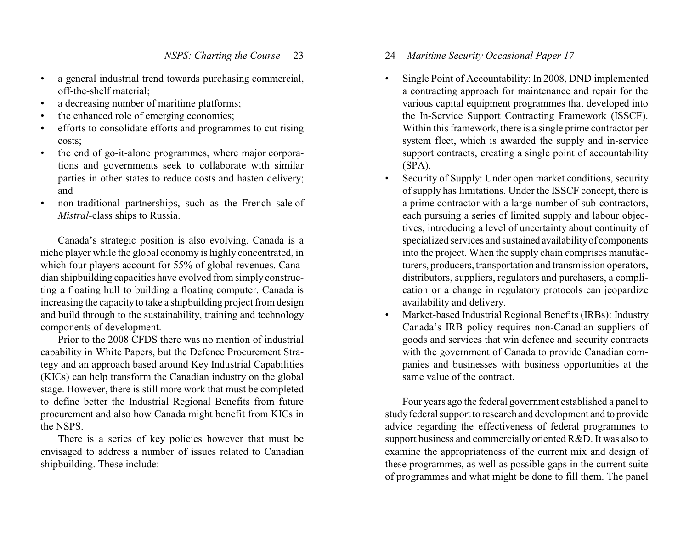- a general industrial trend towards purchasing commercial, off-the-shelf material;
- a decreasing number of maritime platforms;
- the enhanced role of emerging economies;
- efforts to consolidate efforts and programmes to cut rising costs;
- the end of go-it-alone programmes, where major corporations and governments seek to collaborate with similar parties in other states to reduce costs and hasten delivery; and
- non-traditional partnerships, such as the French sale of *Mistral*-class ships to Russia.

Canada's strategic position is also evolving. Canada is a niche player while the global economy is highly concentrated, in which four players account for 55% of global revenues. Canadian shipbuilding capacities have evolved from simply constructing a floating hull to building a floating computer. Canada is increasing the capacityto take a shipbuilding project from design and build through to the sustainability, training and technology components of development.

Prior to the 2008 CFDS there was no mention of industrial capability in White Papers, but the Defence Procurement Strategy and an approach based around Key Industrial Capabilities (KICs) can help transform the Canadian industry on the global stage. However, there is still more work that must be completed to define better the Industrial Regional Benefits from future procurement and also how Canada might benefit from KICs in the NSPS.

There is a series of key policies however that must be envisaged to address a number of issues related to Canadian shipbuilding. These include:

# 24 *Maritime Security Occasional Paper 17*

- Single Point of Accountability: In 2008, DND implemented a contracting approach for maintenance and repair for the various capital equipment programmes that developed into the In-Service Support Contracting Framework (ISSCF). Within this framework, there is a single prime contractor per system fleet, which is awarded the supply and in-service support contracts, creating a single point of accountability (SPA).
- Security of Supply: Under open market conditions, security ofsupply has limitations. Under the ISSCF concept, there is a prime contractor with a large number of sub-contractors, each pursuing a series of limited supply and labour objectives, introducing a level of uncertainty about continuity of specialized services and sustained availabilityof components into the project. When the supply chain comprises manufacturers, producers, transportation and transmission operators, distributors, suppliers, regulators and purchasers, a complication or a change in regulatory protocols can jeopardize availability and delivery.
- Market-based Industrial Regional Benefits (IRBs): Industry Canada's IRB policy requires non-Canadian suppliers of goods and services that win defence and security contracts with the government of Canada to provide Canadian companies and businesses with business opportunities at the same value of the contract.

Four years ago the federal government established a panel to study federal support to research and development and to provide advice regarding the effectiveness of federal programmes to support business and commercially oriented R&D. It was also to examine the appropriateness of the current mix and design of these programmes, as well as possible gaps in the current suite of programmes and what might be done to fill them. The panel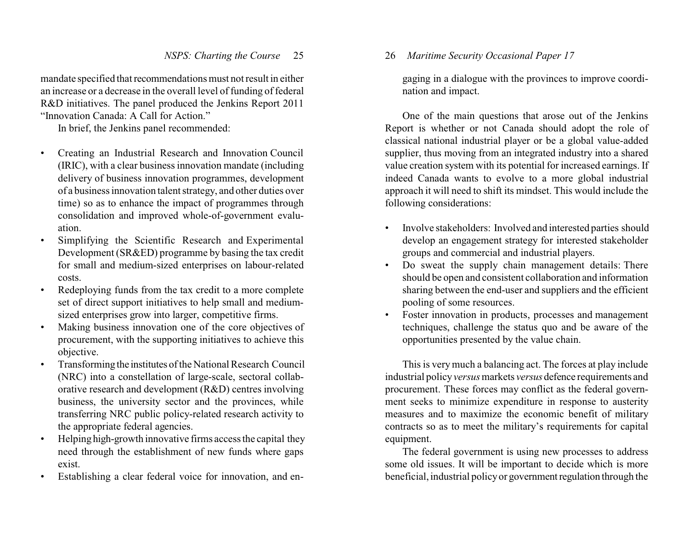mandate specified that recommendations must not result in either an increase or a decrease in the overall level of funding of federal R&D initiatives. The panel produced the Jenkins Report 2011 "Innovation Canada: A Call for Action."

In brief, the Jenkins panel recommended:

- Creating an Industrial Research and Innovation Council (IRIC), with a clear business innovation mandate (including delivery of business innovation programmes, development of a business innovation talent strategy, and other duties over time) so as to enhance the impact of programmes through consolidation and improved whole-of-government evaluation.
- Simplifying the Scientific Research and Experimental Development (SR&ED) programme by basing the tax credit for small and medium-sized enterprises on labour-related costs.
- Redeploying funds from the tax credit to a more complete set of direct support initiatives to help small and mediumsized enterprises grow into larger, competitive firms.
- Making business innovation one of the core objectives of procurement, with the supporting initiatives to achieve this objective.
- Transforming the institutes of the National Research Council (NRC) into a constellation of large-scale, sectoral collaborative research and development (R&D) centres involving business, the university sector and the provinces, while transferring NRC public policy-related research activity to the appropriate federal agencies.
- Helping high-growth innovative firms access the capital they need through the establishment of new funds where gaps exist.
- Establishing a clear federal voice for innovation, and en-

26 *Maritime Security Occasional Paper 17*

gaging in a dialogue with the provinces to improve coordination and impact.

One of the main questions that arose out of the Jenkins Report is whether or not Canada should adopt the role of classical national industrial player or be a global value-added supplier, thus moving from an integrated industry into a shared value creation system with its potential for increased earnings. If indeed Canada wants to evolve to a more global industrial approach it will need to shift its mindset. This would include the following considerations:

- Involve stakeholders: Involved and interested parties should develop an engagement strategy for interested stakeholder groups and commercial and industrial players.
- Do sweat the supply chain management details: There should be open and consistent collaboration and information sharing between the end-user and suppliers and the efficient pooling of some resources.
- Foster innovation in products, processes and management techniques, challenge the status quo and be aware of the opportunities presented by the value chain.

This is verymuch a balancing act. The forces at play include industrial policy*versus*markets *versus* defence requirements and procurement. These forces may conflict as the federal government seeks to minimize expenditure in response to austerity measures and to maximize the economic benefit of military contracts so as to meet the military's requirements for capital equipment.

The federal government is using new processes to address some old issues. It will be important to decide which is more beneficial, industrial policyor governmentregulation through the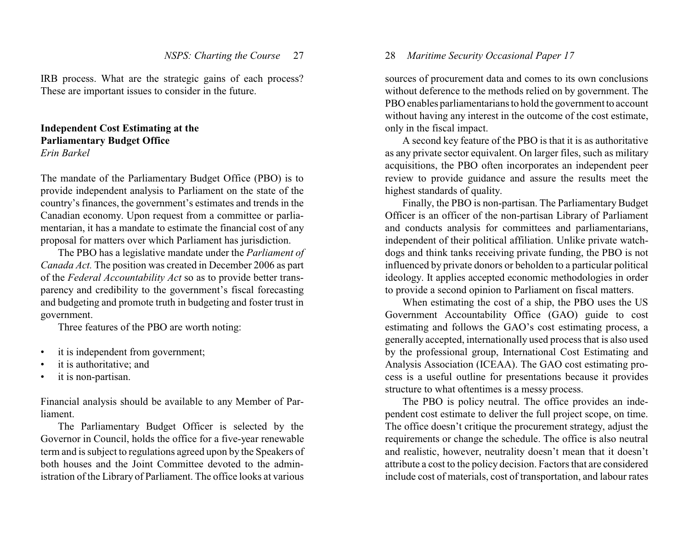IRB process. What are the strategic gains of each process? These are important issues to consider in the future.

# **Independent Cost Estimating at the Parliamentary Budget Office** *Erin Barkel*

The mandate of the Parliamentary Budget Office (PBO) is to provide independent analysis to Parliament on the state of the country's finances, the government's estimates and trends in the Canadian economy. Upon request from a committee or parliamentarian, it has a mandate to estimate the financial cost of any proposal for matters over which Parliament has jurisdiction.

The PBO has a legislative mandate under the *Parliament of Canada Act.* The position was created in December 2006 as part of the *Federal Accountability Act* so as to provide better transparency and credibility to the government's fiscal forecasting and budgeting and promote truth in budgeting and foster trust in government.

Three features of the PBO are worth noting:

- it is independent from government;
- it is authoritative; and
- it is non-partisan.

Financial analysis should be available to any Member of Parliament.

The Parliamentary Budget Officer is selected by the Governor in Council, holds the office for a five-year renewable term and is subject to regulations agreed upon by the Speakers of both houses and the Joint Committee devoted to the administration of the Library of Parliament. The office looks at various

# 28 *Maritime Security Occasional Paper 17*

sources of procurement data and comes to its own conclusions without deference to the methods relied on by government. The PBO enables parliamentarians to hold the government to account without having any interest in the outcome of the cost estimate, only in the fiscal impact.

A second key feature of the PBO is that it is as authoritative as any private sector equivalent. On larger files, such as military acquisitions, the PBO often incorporates an independent peer review to provide guidance and assure the results meet the highest standards of quality.

Finally, the PBO is non-partisan. The Parliamentary Budget Officer is an officer of the non-partisan Library of Parliament and conducts analysis for committees and parliamentarians, independent of their political affiliation. Unlike private watchdogs and think tanks receiving private funding, the PBO is not influenced by private donors or beholden to a particular political ideology. It applies accepted economic methodologies in order to provide a second opinion to Parliament on fiscal matters.

When estimating the cost of a ship, the PBO uses the US Government Accountability Office (GAO) guide to cost estimating and follows the GAO's cost estimating process, a generally accepted, internationally used process that is also used by the professional group, International Cost Estimating and Analysis Association (ICEAA). The GAO cost estimating process is a useful outline for presentations because it provides structure to what oftentimes is a messy process.

The PBO is policy neutral. The office provides an independent cost estimate to deliver the full project scope, on time. The office doesn't critique the procurement strategy, adjust the requirements or change the schedule. The office is also neutral and realistic, however, neutrality doesn't mean that it doesn't attribute a cost to the policy decision. Factors that are considered include cost of materials, cost of transportation, and labour rates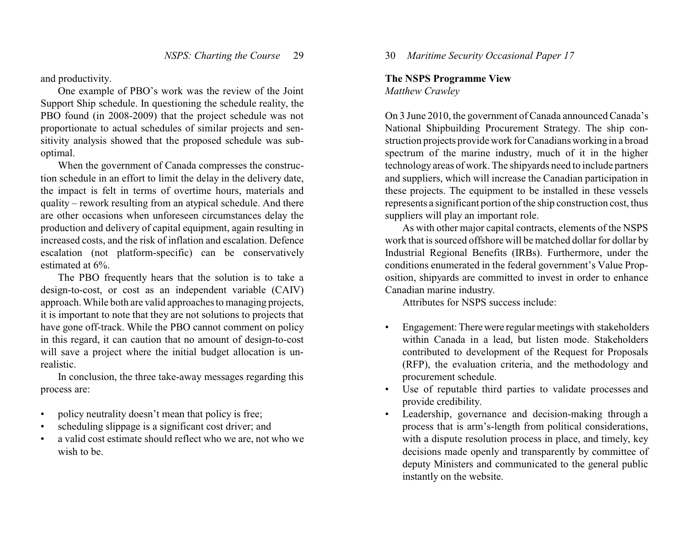and productivity.

One example of PBO's work was the review of the Joint Support Ship schedule. In questioning the schedule reality, the PBO found (in 2008-2009) that the project schedule was not proportionate to actual schedules of similar projects and sensitivity analysis showed that the proposed schedule was suboptimal.

When the government of Canada compresses the construction schedule in an effort to limit the delay in the delivery date, the impact is felt in terms of overtime hours, materials and quality – rework resulting from an atypical schedule. And there are other occasions when unforeseen circumstances delay the production and delivery of capital equipment, again resulting in increased costs, and the risk of inflation and escalation. Defence escalation (not platform-specific) can be conservatively estimated at 6%.

The PBO frequently hears that the solution is to take a design-to-cost, or cost as an independent variable (CAIV) approach. While both are valid approaches to managing projects, it is important to note that they are not solutions to projects that have gone off-track. While the PBO cannot comment on policy in this regard, it can caution that no amount of design-to-cost will save a project where the initial budget allocation is unrealistic.

In conclusion, the three take-away messages regarding this process are:

- policy neutrality doesn't mean that policy is free;
- scheduling slippage is a significant cost driver; and
- a valid cost estimate should reflect who we are, not who we wish to be.

30 *Maritime Security Occasional Paper 17*

#### **The NSPS Programme View**

*Matthew Crawley*

On 3 June 2010, the government of Canada announced Canada's National Shipbuilding Procurement Strategy. The ship construction projects provide work for Canadians working in a broad spectrum of the marine industry, much of it in the higher technology areas of work. The shipyards need to include partners and suppliers, which will increase the Canadian participation in these projects. The equipment to be installed in these vessels represents a significant portion of the ship construction cost, thus suppliers will play an important role.

As with other major capital contracts, elements of the NSPS work that is sourced offshore will be matched dollar for dollar by Industrial Regional Benefits (IRBs). Furthermore, under the conditions enumerated in the federal government's Value Proposition, shipyards are committed to invest in order to enhance Canadian marine industry.

Attributes for NSPS success include:

- Engagement: Therewere regular meetings with stakeholders within Canada in a lead, but listen mode. Stakeholders contributed to development of the Request for Proposals (RFP), the evaluation criteria, and the methodology and procurement schedule.
- Use of reputable third parties to validate processes and provide credibility.
- Leadership, governance and decision-making through a process that is arm's-length from political considerations, with a dispute resolution process in place, and timely, key decisions made openly and transparently by committee of deputy Ministers and communicated to the general public instantly on the website.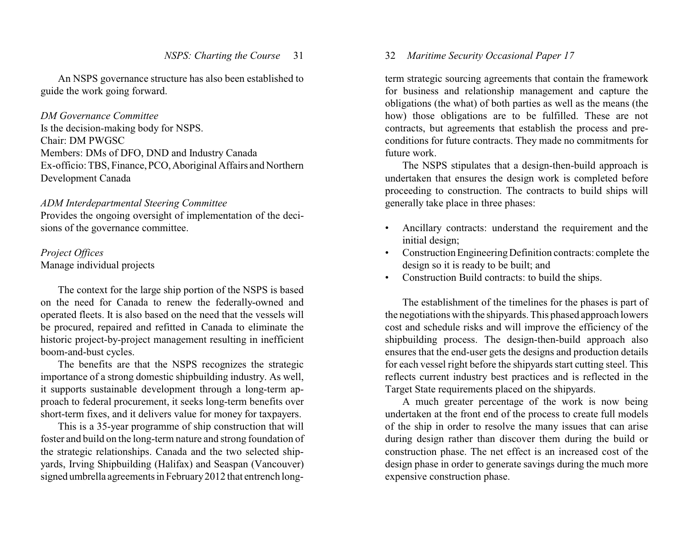An NSPS governance structure has also been established to guide the work going forward.

#### *DM Governance Committee*

Is the decision-making body for NSPS. Chair: DM PWGSC Members: DMs of DFO, DND and Industry Canada Ex-officio: TBS, Finance,PCO,Aboriginal Affairs and Northern Development Canada

# *ADM Interdepartmental Steering Committee*

Provides the ongoing oversight of implementation of the decisions of the governance committee.

# *Project Offices* Manage individual projects

The context for the large ship portion of the NSPS is based on the need for Canada to renew the federally-owned and operated fleets. It is also based on the need that the vessels will be procured, repaired and refitted in Canada to eliminate the historic project-by-project management resulting in inefficient boom-and-bust cycles.

The benefits are that the NSPS recognizes the strategic importance of a strong domestic shipbuilding industry. As well, it supports sustainable development through a long-term approach to federal procurement, it seeks long-term benefits over short-term fixes, and it delivers value for money for taxpayers.

This is a 35-year programme of ship construction that will foster and build on the long-term nature and strong foundation of the strategic relationships. Canada and the two selected shipyards, Irving Shipbuilding (Halifax) and Seaspan (Vancouver) signed umbrella agreements in February2012 that entrench long-

# 32 *Maritime Security Occasional Paper 17*

term strategic sourcing agreements that contain the framework for business and relationship management and capture the obligations (the what) of both parties as well as the means (the how) those obligations are to be fulfilled. These are not contracts, but agreements that establish the process and preconditions for future contracts. They made no commitments for future work.

The NSPS stipulates that a design-then-build approach is undertaken that ensures the design work is completed before proceeding to construction. The contracts to build ships will generally take place in three phases:

- Ancillary contracts: understand the requirement and the initial design;
- Construction Engineering Definition contracts: complete the design so it is ready to be built; and
- Construction Build contracts: to build the ships.

The establishment of the timelines for the phases is part of the negotiations with the shipyards. This phased approach lowers cost and schedule risks and will improve the efficiency of the shipbuilding process. The design-then-build approach also ensures that the end-user gets the designs and production details for each vessel right before the shipyards start cutting steel. This reflects current industry best practices and is reflected in the Target State requirements placed on the shipyards.

A much greater percentage of the work is now being undertaken at the front end of the process to create full models of the ship in order to resolve the many issues that can arise during design rather than discover them during the build or construction phase. The net effect is an increased cost of the design phase in order to generate savings during the much more expensive construction phase.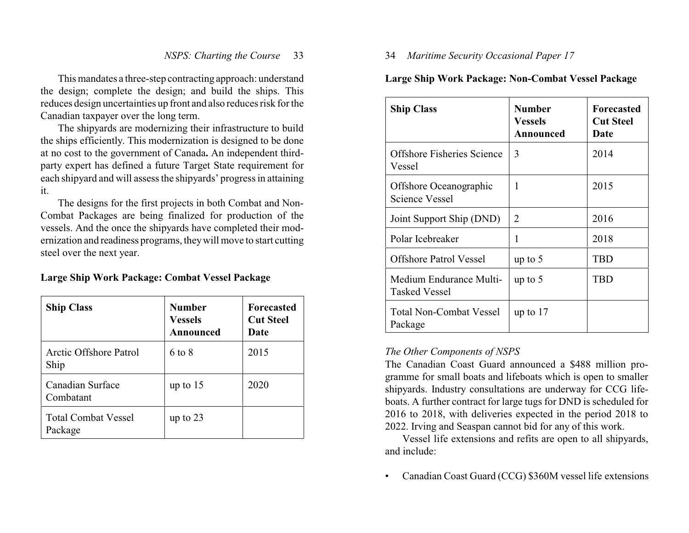This mandates a three-step contracting approach: understand the design; complete the design; and build the ships. This reduces design uncertainties up front and also reduces risk for the Canadian taxpayer over the long term.

The shipyards are modernizing their infrastructure to build the ships efficiently. This modernization is designed to be done at no cost to the government of Canada**.** An independent thirdparty expert has defined a future Target State requirement for each shipyard and will assess the shipyards' progress in attaining it.

The designs for the first projects in both Combat and Non-Combat Packages are being finalized for production of the vessels. And the once the shipyards have completed their modernization and readiness programs, theywill move to start cutting steel over the next year.

## **Large Ship Work Package: Combat Vessel Package**

| <b>Ship Class</b>                     | <b>Number</b><br><b>Vessels</b><br>Announced | <b>Forecasted</b><br><b>Cut Steel</b><br>Date |
|---------------------------------------|----------------------------------------------|-----------------------------------------------|
| Arctic Offshore Patrol<br>Ship        | 6 to 8                                       | 2015                                          |
| Canadian Surface<br>Combatant         | up to $15$                                   | 2020                                          |
| <b>Total Combat Vessel</b><br>Package | up to $23$                                   |                                               |

# 34 *Maritime Security Occasional Paper 17*

# **Large Ship Work Package: Non-Combat Vessel Package**

| <b>Ship Class</b>                               | Number<br>Vessels<br>Announced | <b>Forecasted</b><br><b>Cut Steel</b><br>Date |
|-------------------------------------------------|--------------------------------|-----------------------------------------------|
| Offshore Fisheries Science<br>Vessel            | 3                              | 2014                                          |
| Offshore Oceanographic<br><b>Science Vessel</b> | 1                              | 2015                                          |
| Joint Support Ship (DND)                        | 2                              | 2016                                          |
| Polar Icebreaker                                | 1                              | 2018                                          |
| Offshore Patrol Vessel                          | up to $5$                      | TBD                                           |
| Medium Endurance Multi-<br><b>Tasked Vessel</b> | up to $5$                      | TBD                                           |
| <b>Total Non-Combat Vessel</b><br>Package       | up to $17$                     |                                               |

# *The Other Components of NSPS*

The Canadian Coast Guard announced a \$488 million programme for small boats and lifeboats which is open to smaller shipyards. Industry consultations are underway for CCG lifeboats. A further contract for large tugs for DND is scheduled for 2016 to 2018, with deliveries expected in the period 2018 to 2022. Irving and Seaspan cannot bid for any of this work.

Vessel life extensions and refits are open to all shipyards, and include:

• Canadian Coast Guard (CCG) \$360M vessel life extensions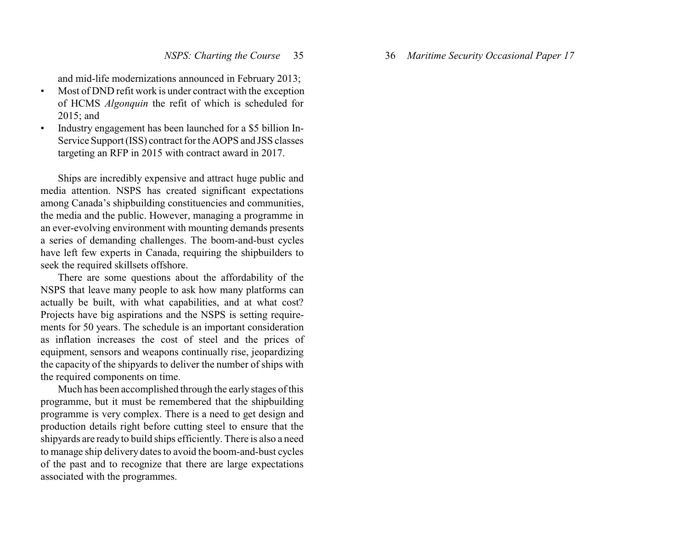and mid-life modernizations announced in February 2013;

- Most of DND refit work is under contract with the exception of HCMS *Algonquin* the refit of which is scheduled for 2015; and
- Industry engagement has been launched for a \$5 billion In-Service Support (ISS) contract for the AOPS and JSS classes targeting an RFP in 2015 with contract award in 2017.

Ships are incredibly expensive and attract huge public and media attention. NSPS has created significant expectations among Canada's shipbuilding constituencies and communities, the media and the public. However, managing a programme in an ever-evolving environment with mounting demands presents a series of demanding challenges. The boom-and-bust cycles have left few experts in Canada, requiring the shipbuilders to seek the required skillsets offshore.

There are some questions about the affordability of the NSPS that leave many people to ask how many platforms can actually be built, with what capabilities, and at what cost? Projects have big aspirations and the NSPS is setting requirements for 50 years. The schedule is an important consideration as inflation increases the cost of steel and the prices of equipment, sensors and weapons continually rise, jeopardizing the capacity of the shipyards to deliver the number of ships with the required components on time.

Much has been accomplished through the early stages of this programme, but it must be remembered that the shipbuilding programme is very complex. There is a need to get design and production details right before cutting steel to ensure that the shipyards are ready to build ships efficiently. There is also a need to manage ship delivery dates to avoid the boom-and-bust cycles of the past and to recognize that there are large expectations associated with the programmes.

36 *Maritime Security Occasional Paper 17*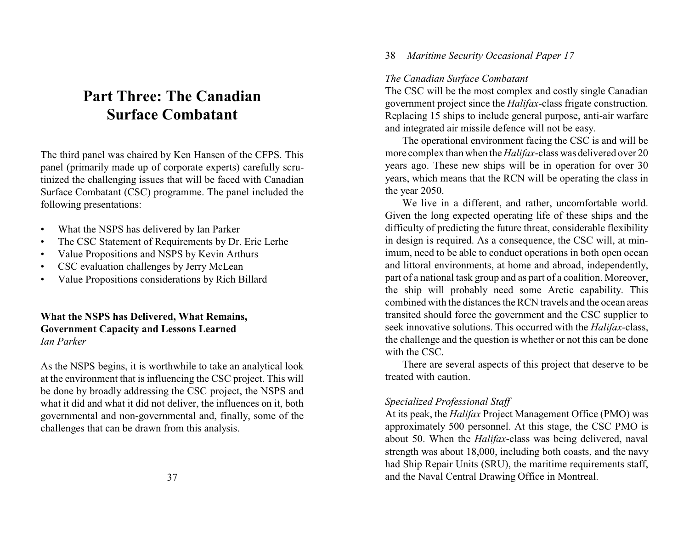# **Part Three: The Canadian Surface Combatant**

The third panel was chaired by Ken Hansen of the CFPS. This panel (primarily made up of corporate experts) carefully scrutinized the challenging issues that will be faced with Canadian Surface Combatant (CSC) programme. The panel included the following presentations:

- What the NSPS has delivered by Ian Parker
- The CSC Statement of Requirements by Dr. Eric Lerhe
- Value Propositions and NSPS by Kevin Arthurs
- CSC evaluation challenges by Jerry McLean
- Value Propositions considerations by Rich Billard

# **What the NSPS has Delivered, What Remains, Government Capacity and Lessons Learned** *Ian Parker*

As the NSPS begins, it is worthwhile to take an analytical look at the environment that is influencing the CSC project. This will be done by broadly addressing the CSC project, the NSPS and what it did and what it did not deliver, the influences on it, both governmental and non-governmental and, finally, some of the challenges that can be drawn from this analysis.

# *The Canadian Surface Combatant*

The CSC will be the most complex and costly single Canadian government project since the *Halifax*-class frigate construction. Replacing 15 ships to include general purpose, anti-air warfare and integrated air missile defence will not be easy.

The operational environment facing the CSC is and will be more complex than when the *Halifax*-class was delivered over 20 years ago. These new ships will be in operation for over 30 years, which means that the RCN will be operating the class in the year 2050.

We live in a different, and rather, uncomfortable world. Given the long expected operating life of these ships and the difficulty of predicting the future threat, considerable flexibility in design is required. As a consequence, the CSC will, at minimum, need to be able to conduct operations in both open ocean and littoral environments, at home and abroad, independently, part of a national task group and as part of a coalition. Moreover, the ship will probably need some Arctic capability. This combined with the distances the RCN travels and the ocean areas transited should force the government and the CSC supplier to seek innovative solutions. This occurred with the *Halifax*-class, the challenge and the question is whether or not this can be done with the CSC.

There are several aspects of this project that deserve to be treated with caution.

# *Specialized Professional Staff*

At its peak, the *Halifax* Project Management Office (PMO) was approximately 500 personnel. At this stage, the CSC PMO is about 50. When the *Halifax*-class was being delivered, naval strength was about 18,000, including both coasts, and the navy had Ship Repair Units (SRU), the maritime requirements staff, and the Naval Central Drawing Office in Montreal.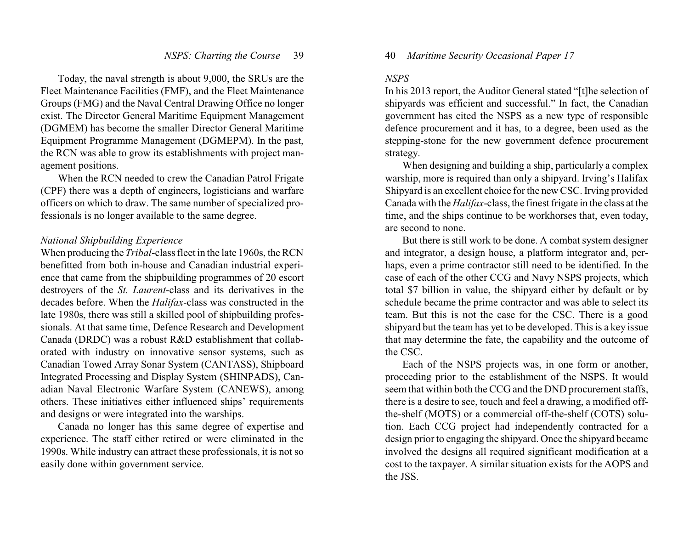Today, the naval strength is about 9,000, the SRUs are the Fleet Maintenance Facilities (FMF), and the Fleet Maintenance Groups (FMG) and the Naval Central Drawing Office no longer exist. The Director General Maritime Equipment Management (DGMEM) has become the smaller Director General Maritime Equipment Programme Management (DGMEPM). In the past, the RCN was able to grow its establishments with project management positions.

When the RCN needed to crew the Canadian Patrol Frigate (CPF) there was a depth of engineers, logisticians and warfare officers on which to draw. The same number of specialized professionals is no longer available to the same degree.

#### *National Shipbuilding Experience*

When producing the *Tribal*-class fleet in the late 1960s, the RCN benefitted from both in-house and Canadian industrial experience that came from the shipbuilding programmes of 20 escort destroyers of the *St. Laurent*-class and its derivatives in the decades before. When the *Halifax*-class was constructed in the late 1980s, there was still a skilled pool of shipbuilding professionals. At that same time, Defence Research and Development Canada (DRDC) was a robust R&D establishment that collaborated with industry on innovative sensor systems, such as Canadian Towed Array Sonar System (CANTASS), Shipboard Integrated Processing and Display System (SHINPADS), Canadian Naval Electronic Warfare System (CANEWS), among others. These initiatives either influenced ships' requirements and designs or were integrated into the warships.

Canada no longer has this same degree of expertise and experience. The staff either retired or were eliminated in the 1990s. While industry can attract these professionals, it is not so easily done within government service.

#### 40 *Maritime Security Occasional Paper 17*

#### *NSPS*

In his 2013 report, the Auditor General stated "[t]he selection of shipyards was efficient and successful." In fact, the Canadian government has cited the NSPS as a new type of responsible defence procurement and it has, to a degree, been used as the stepping-stone for the new government defence procurement strategy.

When designing and building a ship, particularly a complex warship, more is required than only a shipyard. Irving's Halifax Shipyard is an excellent choice for the new CSC. Irving provided Canada with the *Halifax*-class, the finest frigate in the class at the time, and the ships continue to be workhorses that, even today, are second to none.

But there is still work to be done. A combat system designer and integrator, a design house, a platform integrator and, perhaps, even a prime contractor still need to be identified. In the case of each of the other CCG and Navy NSPS projects, which total \$7 billion in value, the shipyard either by default or by schedule became the prime contractor and was able to select its team. But this is not the case for the CSC. There is a good shipyard but the team has yet to be developed. This is a key issue that may determine the fate, the capability and the outcome of the CSC.

Each of the NSPS projects was, in one form or another, proceeding prior to the establishment of the NSPS. It would seem that within both the CCG and the DND procurement staffs, there is a desire to see, touch and feel a drawing, a modified offthe-shelf (MOTS) or a commercial off-the-shelf (COTS) solution. Each CCG project had independently contracted for a design prior to engaging the shipyard. Once the shipyard became involved the designs all required significant modification at a cost to the taxpayer. A similar situation exists for the AOPS and the JSS.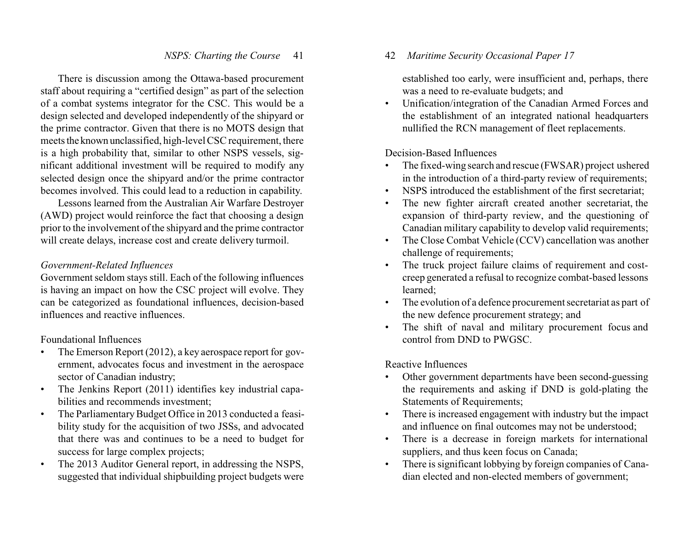There is discussion among the Ottawa-based procurement staff about requiring a "certified design" as part of the selection of a combat systems integrator for the CSC. This would be a design selected and developed independently of the shipyard or the prime contractor. Given that there is no MOTS design that meets the known unclassified, high-level CSC requirement, there is a high probability that, similar to other NSPS vessels, significant additional investment will be required to modify any selected design once the shipyard and/or the prime contractor becomes involved. This could lead to a reduction in capability.

Lessons learned from the Australian Air Warfare Destroyer (AWD) project would reinforce the fact that choosing a design prior to the involvement of the shipyard and the prime contractor will create delays, increase cost and create delivery turmoil.

# *Government-Related Influences*

Government seldom stays still. Each of the following influences is having an impact on how the CSC project will evolve. They can be categorized as foundational influences, decision-based influences and reactive influences.

Foundational Influences

- The Emerson Report (2012), a key aerospace report for government, advocates focus and investment in the aerospace sector of Canadian industry;
- The Jenkins Report (2011) identifies key industrial capabilities and recommends investment;
- The Parliamentary Budget Office in 2013 conducted a feasibility study for the acquisition of two JSSs, and advocated that there was and continues to be a need to budget for success for large complex projects;
- The 2013 Auditor General report, in addressing the NSPS, suggested that individual shipbuilding project budgets were

# 42 *Maritime Security Occasional Paper 17*

established too early, were insufficient and, perhaps, there was a need to re-evaluate budgets; and

• Unification/integration of the Canadian Armed Forces and the establishment of an integrated national headquarters nullified the RCN management of fleet replacements.

Decision-Based Influences

- The fixed-wing search and rescue (FWSAR) project ushered in the introduction of a third-party review of requirements;
- NSPS introduced the establishment of the first secretariat;
- The new fighter aircraft created another secretariat, the expansion of third-party review, and the questioning of Canadian military capability to develop valid requirements;
- The Close Combat Vehicle (CCV) cancellation was another challenge of requirements;
- The truck project failure claims of requirement and costcreep generated a refusal to recognize combat-based lessons learned;
- The evolution of a defence procurement secretariat as part of the new defence procurement strategy; and
- The shift of naval and military procurement focus and control from DND to PWGSC.

Reactive Influences

- Other government departments have been second-guessing the requirements and asking if DND is gold-plating the Statements of Requirements;
- There is increased engagement with industry but the impact and influence on final outcomes may not be understood;
- There is a decrease in foreign markets for international suppliers, and thus keen focus on Canada;
- There is significant lobbying by foreign companies of Canadian elected and non-elected members of government;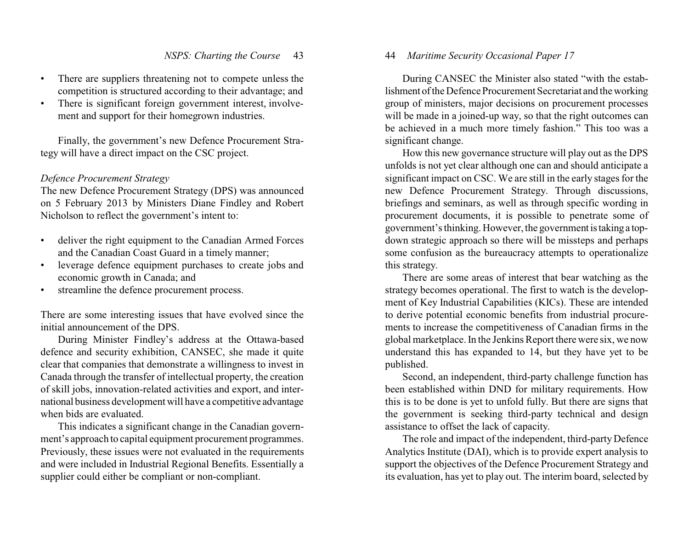- There are suppliers threatening not to compete unless the competition is structured according to their advantage; and
- There is significant foreign government interest, involvement and support for their homegrown industries.

Finally, the government's new Defence Procurement Strategy will have a direct impact on the CSC project.

# *Defence Procurement Strategy*

The new Defence Procurement Strategy (DPS) was announced on 5 February 2013 by Ministers Diane Findley and Robert Nicholson to reflect the government's intent to:

- deliver the right equipment to the Canadian Armed Forces and the Canadian Coast Guard in a timely manner;
- leverage defence equipment purchases to create jobs and economic growth in Canada; and
- streamline the defence procurement process.

There are some interesting issues that have evolved since the initial announcement of the DPS.

During Minister Findley's address at the Ottawa-based defence and security exhibition, CANSEC, she made it quite clear that companies that demonstrate a willingness to invest in Canada through the transfer of intellectual property, the creation of skill jobs, innovation-related activities and export, and international business development will have a competitive advantage when bids are evaluated.

This indicates a significant change in the Canadian government's approach to capital equipment procurement programmes. Previously, these issues were not evaluated in the requirements and were included in Industrial Regional Benefits. Essentially a supplier could either be compliant or non-compliant.

# 44 *Maritime Security Occasional Paper 17*

During CANSEC the Minister also stated "with the establishment of the Defence Procurement Secretariat and the working group of ministers, major decisions on procurement processes will be made in a joined-up way, so that the right outcomes can be achieved in a much more timely fashion." This too was a significant change.

How this new governance structure will play out as the DPS unfolds is not yet clear although one can and should anticipate a significant impact on CSC. We are still in the early stages for the new Defence Procurement Strategy. Through discussions, briefings and seminars, as well as through specific wording in procurement documents, it is possible to penetrate some of government's thinking. However, the government istaking a topdown strategic approach so there will be missteps and perhaps some confusion as the bureaucracy attempts to operationalize this strategy.

There are some areas of interest that bear watching as the strategy becomes operational. The first to watch is the development of Key Industrial Capabilities (KICs). These are intended to derive potential economic benefits from industrial procurements to increase the competitiveness of Canadian firms in the global marketplace. In the Jenkins Report there were six, we now understand this has expanded to 14, but they have yet to be published.

Second, an independent, third-party challenge function has been established within DND for military requirements. How this is to be done is yet to unfold fully. But there are signs that the government is seeking third-party technical and design assistance to offset the lack of capacity.

The role and impact of the independent, third-party Defence Analytics Institute (DAI), which is to provide expert analysis to support the objectives of the Defence Procurement Strategy and its evaluation, has yet to play out. The interim board, selected by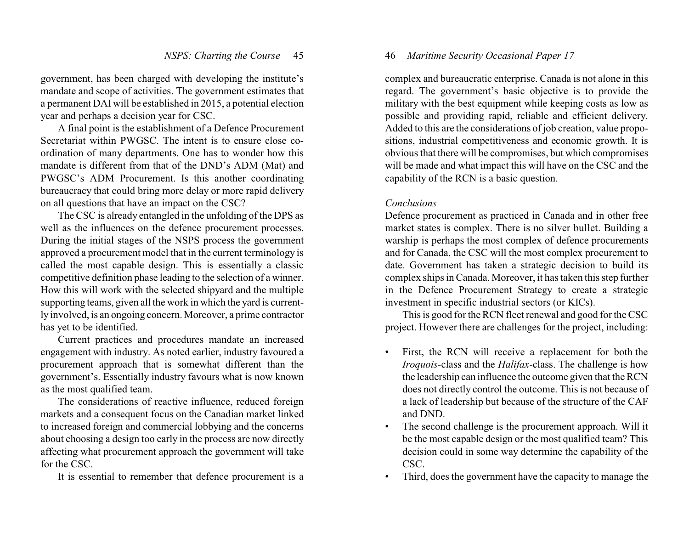government, has been charged with developing the institute's mandate and scope of activities. The government estimates that a permanent DAI will be established in 2015, a potential election year and perhaps a decision year for CSC.

A final point is the establishment of a Defence Procurement Secretariat within PWGSC. The intent is to ensure close coordination of many departments. One has to wonder how this mandate is different from that of the DND's ADM (Mat) and PWGSC's ADM Procurement. Is this another coordinating bureaucracy that could bring more delay or more rapid delivery on all questions that have an impact on the CSC?

The CSC is already entangled in the unfolding of the DPS as well as the influences on the defence procurement processes. During the initial stages of the NSPS process the government approved a procurement model that in the current terminology is called the most capable design. This is essentially a classic competitive definition phase leading to the selection of a winner. How this will work with the selected shipyard and the multiple supporting teams, given all the work in which the yard is currently involved, is an ongoing concern. Moreover, a prime contractor has yet to be identified.

Current practices and procedures mandate an increased engagement with industry. As noted earlier, industry favoured a procurement approach that is somewhat different than the government's. Essentially industry favours what is now known as the most qualified team.

The considerations of reactive influence, reduced foreign markets and a consequent focus on the Canadian market linked to increased foreign and commercial lobbying and the concerns about choosing a design too early in the process are now directly affecting what procurement approach the government will take for the CSC.

It is essential to remember that defence procurement is a

# 46 *Maritime Security Occasional Paper 17*

complex and bureaucratic enterprise. Canada is not alone in this regard. The government's basic objective is to provide the military with the best equipment while keeping costs as low as possible and providing rapid, reliable and efficient delivery. Added to this are the considerations of job creation, value propositions, industrial competitiveness and economic growth. It is obvious that there will be compromises, but which compromises will be made and what impact this will have on the CSC and the capability of the RCN is a basic question.

#### *Conclusions*

Defence procurement as practiced in Canada and in other free market states is complex. There is no silver bullet. Building a warship is perhaps the most complex of defence procurements and for Canada, the CSC will the most complex procurement to date. Government has taken a strategic decision to build its complex ships in Canada. Moreover, it has taken this step further in the Defence Procurement Strategy to create a strategic investment in specific industrial sectors (or KICs).

This is good for the RCN fleet renewal and good for the CSC project. However there are challenges for the project, including:

- First, the RCN will receive a replacement for both the *Iroquois*-class and the *Halifax*-class. The challenge is how the leadership can influence the outcome given that the RCN does not directly control the outcome. This is not because of a lack of leadership but because of the structure of the CAF and DND.
- The second challenge is the procurement approach. Will it be the most capable design or the most qualified team? This decision could in some way determine the capability of the CSC.
- Third, does the government have the capacity to manage the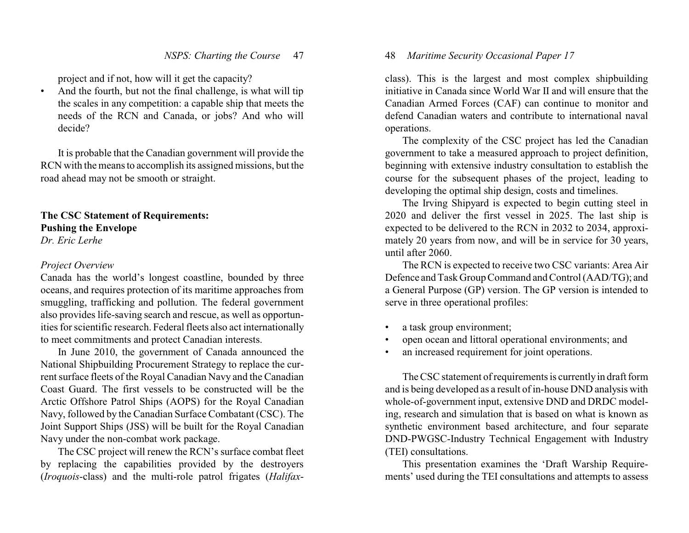project and if not, how will it get the capacity?

• And the fourth, but not the final challenge, is what will tip the scales in any competition: a capable ship that meets the needs of the RCN and Canada, or jobs? And who will decide?

It is probable that the Canadian government will provide the RCN with the means to accomplish its assigned missions, but the road ahead may not be smooth or straight.

**The CSC Statement of Requirements: Pushing the Envelope** *Dr. Eric Lerhe*

#### *Project Overview*

Canada has the world's longest coastline, bounded by three oceans, and requires protection of its maritime approaches from smuggling, trafficking and pollution. The federal government also provides life-saving search and rescue, as well as opportunities for scientific research. Federal fleets also act internationally to meet commitments and protect Canadian interests.

In June 2010, the government of Canada announced the National Shipbuilding Procurement Strategy to replace the current surface fleets of the Royal Canadian Navy and the Canadian Coast Guard. The first vessels to be constructed will be the Arctic Offshore Patrol Ships (AOPS) for the Royal Canadian Navy, followed by the Canadian Surface Combatant (CSC). The Joint Support Ships (JSS) will be built for the Royal Canadian Navy under the non-combat work package.

The CSC project will renew the RCN's surface combat fleet by replacing the capabilities provided by the destroyers (*Iroquois*-class) and the multi-role patrol frigates (*Halifax*-

# 48 *Maritime Security Occasional Paper 17*

class). This is the largest and most complex shipbuilding initiative in Canada since World War II and will ensure that the Canadian Armed Forces (CAF) can continue to monitor and defend Canadian waters and contribute to international naval operations.

The complexity of the CSC project has led the Canadian government to take a measured approach to project definition, beginning with extensive industry consultation to establish the course for the subsequent phases of the project, leading to developing the optimal ship design, costs and timelines.

The Irving Shipyard is expected to begin cutting steel in 2020 and deliver the first vessel in 2025. The last ship is expected to be delivered to the RCN in 2032 to 2034, approximately 20 years from now, and will be in service for 30 years, until after 2060.

The RCN is expected to receive two CSC variants: Area Air Defence and Task Group Command and Control (AAD/TG); and a General Purpose (GP) version. The GP version is intended to serve in three operational profiles:

- a task group environment;
- open ocean and littoral operational environments; and
- an increased requirement for joint operations.

The CSC statement of requirements is currentlyin draft form and is being developed as a result of in-house DND analysis with whole-of-government input, extensive DND and DRDC modeling, research and simulation that is based on what is known as synthetic environment based architecture, and four separate DND-PWGSC-Industry Technical Engagement with Industry (TEI) consultations.

This presentation examines the 'Draft Warship Requirements' used during the TEI consultations and attempts to assess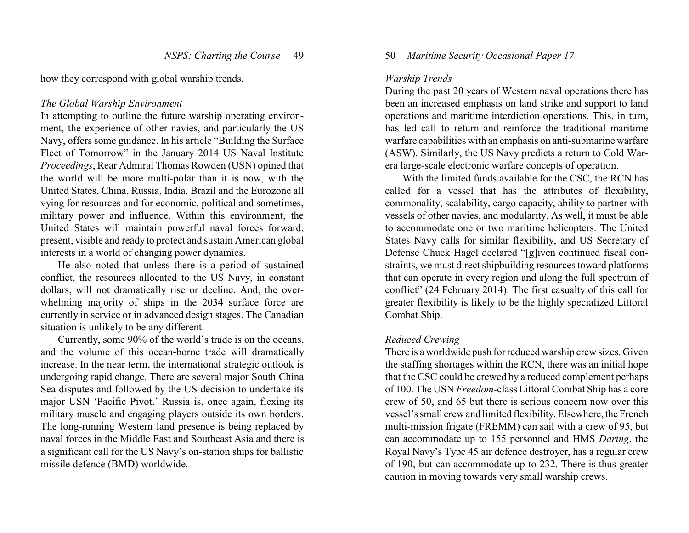how they correspond with global warship trends.

#### *The Global Warship Environment*

In attempting to outline the future warship operating environment, the experience of other navies, and particularly the US Navy, offers some guidance. In his article "Building the Surface Fleet of Tomorrow" in the January 2014 US Naval Institute *Proceedings*, Rear Admiral Thomas Rowden (USN) opined that the world will be more multi-polar than it is now, with the United States, China, Russia, India, Brazil and the Eurozone all vying for resources and for economic, political and sometimes, military power and influence. Within this environment, the United States will maintain powerful naval forces forward, present, visible and ready to protect and sustain American global interests in a world of changing power dynamics.

He also noted that unless there is a period of sustained conflict, the resources allocated to the US Navy, in constant dollars, will not dramatically rise or decline. And, the overwhelming majority of ships in the 2034 surface force are currently in service or in advanced design stages. The Canadian situation is unlikely to be any different.

Currently, some 90% of the world's trade is on the oceans, and the volume of this ocean-borne trade will dramatically increase. In the near term, the international strategic outlook is undergoing rapid change. There are several major South China Sea disputes and followed by the US decision to undertake its major USN 'Pacific Pivot.' Russia is, once again, flexing its military muscle and engaging players outside its own borders. The long-running Western land presence is being replaced by naval forces in the Middle East and Southeast Asia and there is a significant call for the US Navy's on-station ships for ballistic missile defence (BMD) worldwide.

### 50 *Maritime Security Occasional Paper 17*

#### *Warship Trends*

During the past 20 years of Western naval operations there has been an increased emphasis on land strike and support to land operations and maritime interdiction operations. This, in turn, has led call to return and reinforce the traditional maritime warfare capabilities with an emphasis on anti-submarine warfare (ASW). Similarly, the US Navy predicts a return to Cold Warera large-scale electronic warfare concepts of operation.

With the limited funds available for the CSC, the RCN has called for a vessel that has the attributes of flexibility, commonality, scalability, cargo capacity, ability to partner with vessels of other navies, and modularity. As well, it must be able to accommodate one or two maritime helicopters. The United States Navy calls for similar flexibility, and US Secretary of Defense Chuck Hagel declared "[g]iven continued fiscal constraints, we must direct shipbuilding resources toward platforms that can operate in every region and along the full spectrum of conflict" (24 February 2014). The first casualty of this call for greater flexibility is likely to be the highly specialized Littoral Combat Ship.

#### *Reduced Crewing*

There is a worldwide push for reduced warship crew sizes. Given the staffing shortages within the RCN, there was an initial hope that the CSC could be crewed by a reduced complement perhaps of 100. The USN *Freedom*-class Littoral Combat Ship has a core crew of 50, and 65 but there is serious concern now over this vessel's small crew and limited flexibility. Elsewhere, the French multi-mission frigate (FREMM) can sail with a crew of 95, but can accommodate up to 155 personnel and HMS *Daring*, the Royal Navy's Type 45 air defence destroyer, has a regular crew of 190, but can accommodate up to 232. There is thus greater caution in moving towards very small warship crews.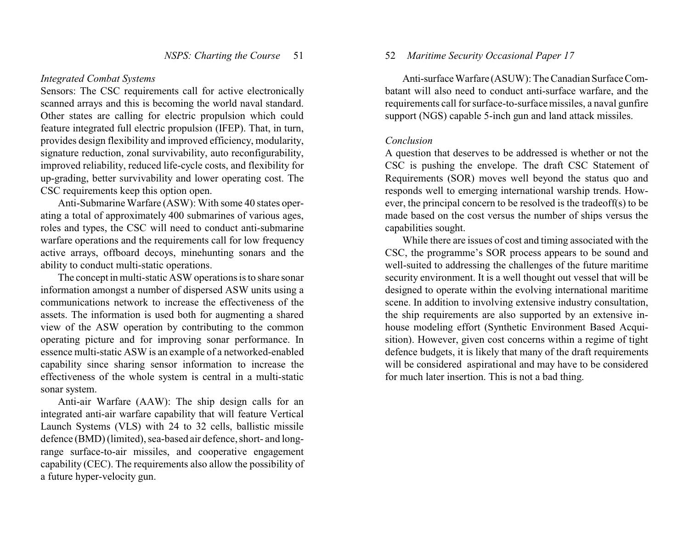#### *Integrated Combat Systems*

Sensors: The CSC requirements call for active electronically scanned arrays and this is becoming the world naval standard. Other states are calling for electric propulsion which could feature integrated full electric propulsion (IFEP). That, in turn, provides design flexibility and improved efficiency, modularity, signature reduction, zonal survivability, auto reconfigurability, improved reliability, reduced life-cycle costs, and flexibility for up-grading, better survivability and lower operating cost. The CSC requirements keep this option open.

Anti-Submarine Warfare (ASW): With some 40 states operating a total of approximately 400 submarines of various ages, roles and types, the CSC will need to conduct anti-submarine warfare operations and the requirements call for low frequency active arrays, offboard decoys, minehunting sonars and the ability to conduct multi-static operations.

The concept in multi-static ASW operations is to share sonar information amongst a number of dispersed ASW units using a communications network to increase the effectiveness of the assets. The information is used both for augmenting a shared view of the ASW operation by contributing to the common operating picture and for improving sonar performance. In essence multi-static ASW is an example of a networked-enabled capability since sharing sensor information to increase the effectiveness of the whole system is central in a multi-static sonar system.

Anti-air Warfare (AAW): The ship design calls for an integrated anti-air warfare capability that will feature Vertical Launch Systems (VLS) with 24 to 32 cells, ballistic missile defence (BMD) (limited), sea-based air defence, short- and longrange surface-to-air missiles, and cooperative engagement capability (CEC). The requirements also allow the possibility of a future hyper-velocity gun.

# 52 *Maritime Security Occasional Paper 17*

Anti-surface Warfare (ASUW): The Canadian Surface Combatant will also need to conduct anti-surface warfare, and the requirements call for surface-to-surface missiles, a naval gunfire support (NGS) capable 5-inch gun and land attack missiles.

#### *Conclusion*

A question that deserves to be addressed is whether or not the CSC is pushing the envelope. The draft CSC Statement of Requirements (SOR) moves well beyond the status quo and responds well to emerging international warship trends. However, the principal concern to be resolved is the tradeoff(s) to be made based on the cost versus the number of ships versus the capabilities sought.

While there are issues of cost and timing associated with the CSC, the programme's SOR process appears to be sound and well-suited to addressing the challenges of the future maritime security environment. It is a well thought out vessel that will be designed to operate within the evolving international maritime scene. In addition to involving extensive industry consultation, the ship requirements are also supported by an extensive inhouse modeling effort (Synthetic Environment Based Acquisition). However, given cost concerns within a regime of tight defence budgets, it is likely that many of the draft requirements will be considered aspirational and may have to be considered for much later insertion. This is not a bad thing.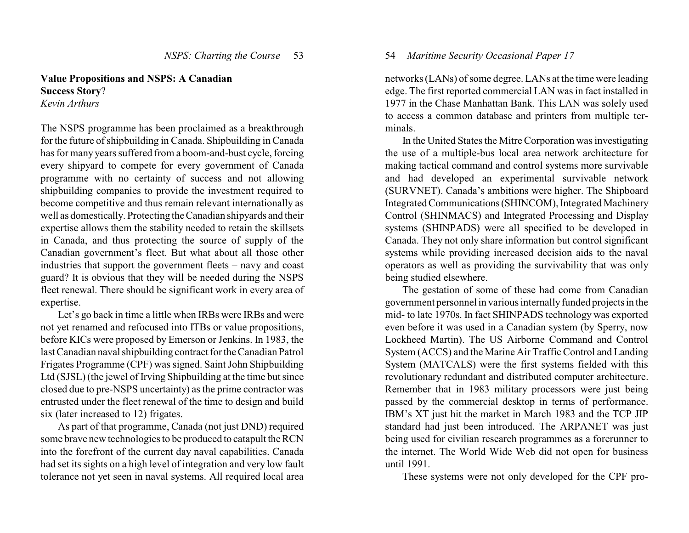# **Value Propositions and NSPS: A Canadian Success Story**?

*Kevin Arthurs* 

The NSPS programme has been proclaimed as a breakthrough for the future of shipbuilding in Canada. Shipbuilding in Canada has for many years suffered from a boom-and-bust cycle, forcing every shipyard to compete for every government of Canada programme with no certainty of success and not allowing shipbuilding companies to provide the investment required to become competitive and thus remain relevant internationally as well as domestically. Protecting the Canadian shipyards and their expertise allows them the stability needed to retain the skillsets in Canada, and thus protecting the source of supply of the Canadian government's fleet. But what about all those other industries that support the government fleets – navy and coast guard? It is obvious that they will be needed during the NSPS fleet renewal. There should be significant work in every area of expertise.

Let's go back in time a little when IRBs were IRBs and were not yet renamed and refocused into ITBs or value propositions, before KICs were proposed by Emerson or Jenkins. In 1983, the last Canadian naval shipbuilding contract for the Canadian Patrol Frigates Programme (CPF) was signed. Saint John Shipbuilding Ltd (SJSL) (the jewel of Irving Shipbuilding at the time but since closed due to pre-NSPS uncertainty) as the prime contractor was entrusted under the fleet renewal of the time to design and build six (later increased to 12) frigates.

As part of that programme, Canada (not just DND) required some brave new technologies to be produced to catapult the RCN into the forefront of the current day naval capabilities. Canada had set its sights on a high level of integration and very low fault tolerance not yet seen in naval systems. All required local area

# 54 *Maritime Security Occasional Paper 17*

networks (LANs) of some degree. LANs at the time were leading edge. The first reported commercial LAN was in fact installed in 1977 in the Chase Manhattan Bank. This LAN was solely used to access a common database and printers from multiple terminals.

In the United States the Mitre Corporation was investigating the use of a multiple-bus local area network architecture for making tactical command and control systems more survivable and had developed an experimental survivable network (SURVNET). Canada's ambitions were higher. The Shipboard Integrated Communications(SHINCOM), Integrated Machinery Control (SHINMACS) and Integrated Processing and Display systems (SHINPADS) were all specified to be developed in Canada. They not only share information but control significant systems while providing increased decision aids to the naval operators as well as providing the survivability that was only being studied elsewhere.

The gestation of some of these had come from Canadian government personnel in various internallyfunded projectsin the mid- to late 1970s. In fact SHINPADS technology was exported even before it was used in a Canadian system (by Sperry, now Lockheed Martin). The US Airborne Command and Control System (ACCS) and the Marine Air Traffic Control and Landing System (MATCALS) were the first systems fielded with this revolutionary redundant and distributed computer architecture. Remember that in 1983 military processors were just being passed by the commercial desktop in terms of performance. IBM's XT just hit the market in March 1983 and the TCP JIP standard had just been introduced. The ARPANET was just being used for civilian research programmes as a forerunner to the internet. The World Wide Web did not open for business until 1991.

These systems were not only developed for the CPF pro-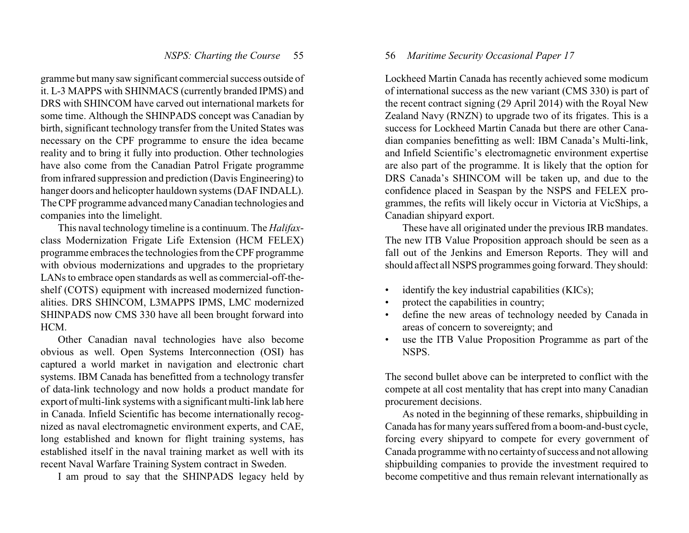gramme but many saw significant commercial success outside of it. L-3 MAPPS with SHINMACS (currently branded IPMS) and DRS with SHINCOM have carved out international markets for some time. Although the SHINPADS concept was Canadian by birth, significant technology transfer from the United States was necessary on the CPF programme to ensure the idea became reality and to bring it fully into production. Other technologies have also come from the Canadian Patrol Frigate programme from infrared suppression and prediction (Davis Engineering) to hanger doors and helicopter hauldown systems (DAF INDALL). The CPF programme advanced manyCanadian technologies and companies into the limelight.

This naval technology timeline is a continuum. The *Halifax*class Modernization Frigate Life Extension (HCM FELEX) programme embraces the technologies from the CPF programme with obvious modernizations and upgrades to the proprietary LANs to embrace open standards as well as commercial-off-theshelf (COTS) equipment with increased modernized functionalities. DRS SHINCOM, L3MAPPS IPMS, LMC modernized SHINPADS now CMS 330 have all been brought forward into HCM.

Other Canadian naval technologies have also become obvious as well. Open Systems Interconnection (OSI) has captured a world market in navigation and electronic chart systems. IBM Canada has benefitted from a technology transfer of data-link technology and now holds a product mandate for export of multi-link systems with a significant multi-link lab here in Canada. Infield Scientific has become internationally recognized as naval electromagnetic environment experts, and CAE, long established and known for flight training systems, has established itself in the naval training market as well with its recent Naval Warfare Training System contract in Sweden.

I am proud to say that the SHINPADS legacy held by

#### 56 *Maritime Security Occasional Paper 17*

Lockheed Martin Canada has recently achieved some modicum of international success as the new variant (CMS 330) is part of the recent contract signing (29 April 2014) with the Royal New Zealand Navy (RNZN) to upgrade two of its frigates. This is a success for Lockheed Martin Canada but there are other Canadian companies benefitting as well: IBM Canada's Multi-link, and Infield Scientific's electromagnetic environment expertise are also part of the programme. It is likely that the option for DRS Canada's SHINCOM will be taken up, and due to the confidence placed in Seaspan by the NSPS and FELEX programmes, the refits will likely occur in Victoria at VicShips, a Canadian shipyard export.

These have all originated under the previous IRB mandates. The new ITB Value Proposition approach should be seen as a fall out of the Jenkins and Emerson Reports. They will and should affect all NSPS programmes going forward. Theyshould:

- identify the key industrial capabilities (KICs);
- protect the capabilities in country;
- define the new areas of technology needed by Canada in areas of concern to sovereignty; and
- use the ITB Value Proposition Programme as part of the NSPS.

The second bullet above can be interpreted to conflict with the compete at all cost mentality that has crept into many Canadian procurement decisions.

As noted in the beginning of these remarks, shipbuilding in Canada has for many years suffered from a boom-and-bust cycle, forcing every shipyard to compete for every government of Canada programme with no certaintyof success and not allowing shipbuilding companies to provide the investment required to become competitive and thus remain relevant internationally as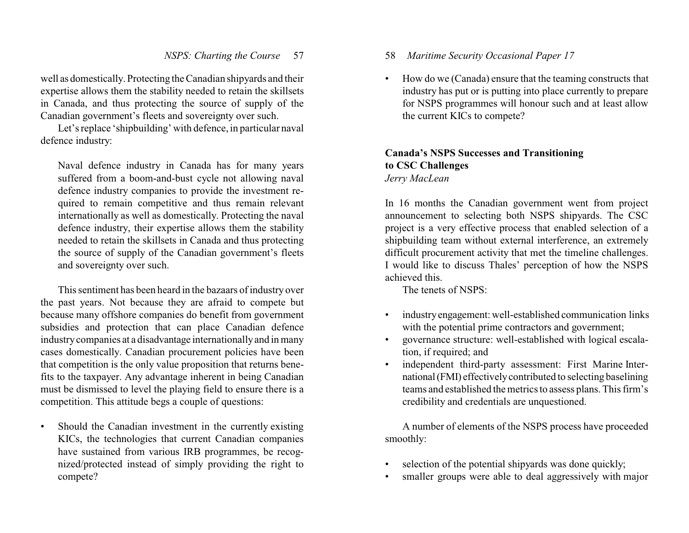well as domestically. Protecting the Canadian shipyards and their expertise allows them the stability needed to retain the skillsets in Canada, and thus protecting the source of supply of the Canadian government's fleets and sovereignty over such.

Let's replace 'shipbuilding' with defence, in particular naval defence industry:

Naval defence industry in Canada has for many years suffered from a boom-and-bust cycle not allowing naval defence industry companies to provide the investment required to remain competitive and thus remain relevant internationally as well as domestically. Protecting the naval defence industry, their expertise allows them the stability needed to retain the skillsets in Canada and thus protecting the source of supply of the Canadian government's fleets and sovereignty over such.

This sentiment has been heard in the bazaars of industry over the past years. Not because they are afraid to compete but because many offshore companies do benefit from government subsidies and protection that can place Canadian defence industrycompanies at a disadvantage internationallyand in many cases domestically. Canadian procurement policies have been that competition is the only value proposition that returns benefits to the taxpayer. Any advantage inherent in being Canadian must be dismissed to level the playing field to ensure there is a competition. This attitude begs a couple of questions:

• Should the Canadian investment in the currently existing KICs, the technologies that current Canadian companies have sustained from various IRB programmes, be recognized/protected instead of simply providing the right to compete?

- 58 *Maritime Security Occasional Paper 17*
- How do we (Canada) ensure that the teaming constructs that industry has put or is putting into place currently to prepare for NSPS programmes will honour such and at least allow the current KICs to compete?

# **Canada's NSPS Successes and Transitioning to CSC Challenges** *Jerry MacLean*

In 16 months the Canadian government went from project announcement to selecting both NSPS shipyards. The CSC project is a very effective process that enabled selection of a shipbuilding team without external interference, an extremely difficult procurement activity that met the timeline challenges. I would like to discuss Thales' perception of how the NSPS achieved this.

The tenets of NSPS:

- industryengagement: well-established communication links with the potential prime contractors and government;
- governance structure: well-established with logical escalation, if required; and
- independent third-party assessment: First Marine International(FMI) effectivelycontributed to selecting baselining teams and established the metrics to assess plans. This firm's credibility and credentials are unquestioned.

A number of elements of the NSPS process have proceeded smoothly:

- selection of the potential shipyards was done quickly;
- smaller groups were able to deal aggressively with major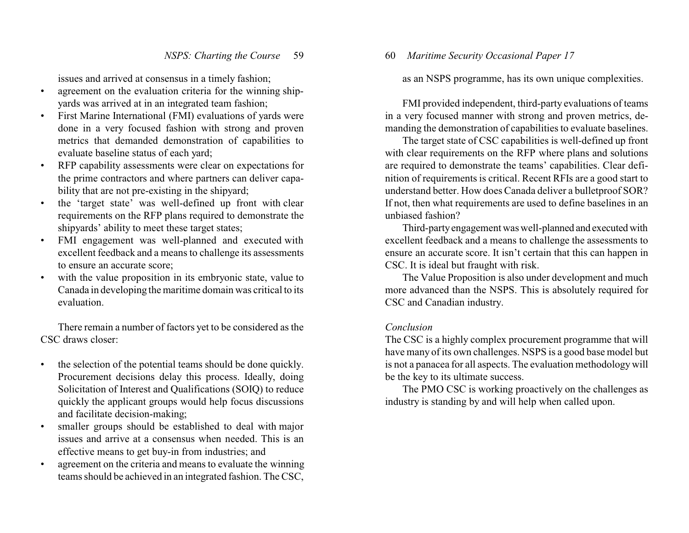issues and arrived at consensus in a timely fashion;

- agreement on the evaluation criteria for the winning shipyards was arrived at in an integrated team fashion;
- First Marine International (FMI) evaluations of yards were done in a very focused fashion with strong and proven metrics that demanded demonstration of capabilities to evaluate baseline status of each yard;
- RFP capability assessments were clear on expectations for the prime contractors and where partners can deliver capability that are not pre-existing in the shipyard;
- the 'target state' was well-defined up front with clear requirements on the RFP plans required to demonstrate the shipyards' ability to meet these target states;
- FMI engagement was well-planned and executed with excellent feedback and a means to challenge its assessments to ensure an accurate score;
- with the value proposition in its embryonic state, value to Canada in developing the maritime domain was critical to its evaluation.

There remain a number of factors yet to be considered as the CSC draws closer:

- the selection of the potential teams should be done quickly. Procurement decisions delay this process. Ideally, doing Solicitation of Interest and Qualifications (SOIQ) to reduce quickly the applicant groups would help focus discussions and facilitate decision-making;
- smaller groups should be established to deal with major issues and arrive at a consensus when needed. This is an effective means to get buy-in from industries; and
- agreement on the criteria and means to evaluate the winning teams should be achieved in an integrated fashion. The CSC,

60 *Maritime Security Occasional Paper 17*

as an NSPS programme, has its own unique complexities.

FMI provided independent, third-party evaluations of teams in a very focused manner with strong and proven metrics, demanding the demonstration of capabilities to evaluate baselines.

The target state of CSC capabilities is well-defined up front with clear requirements on the RFP where plans and solutions are required to demonstrate the teams' capabilities. Clear definition of requirements is critical. Recent RFIs are a good start to understand better. How does Canada deliver a bulletproof SOR? If not, then what requirements are used to define baselines in an unbiased fashion?

Third-partyengagement was well-planned and executedwith excellent feedback and a means to challenge the assessments to ensure an accurate score. It isn't certain that this can happen in CSC. It is ideal but fraught with risk.

The Value Proposition is also under development and much more advanced than the NSPS. This is absolutely required for CSC and Canadian industry.

# *Conclusion*

The CSC is a highly complex procurement programme that will have many of its own challenges. NSPS is a good base model but is not a panacea for all aspects. The evaluation methodology will be the key to its ultimate success.

The PMO CSC is working proactively on the challenges as industry is standing by and will help when called upon.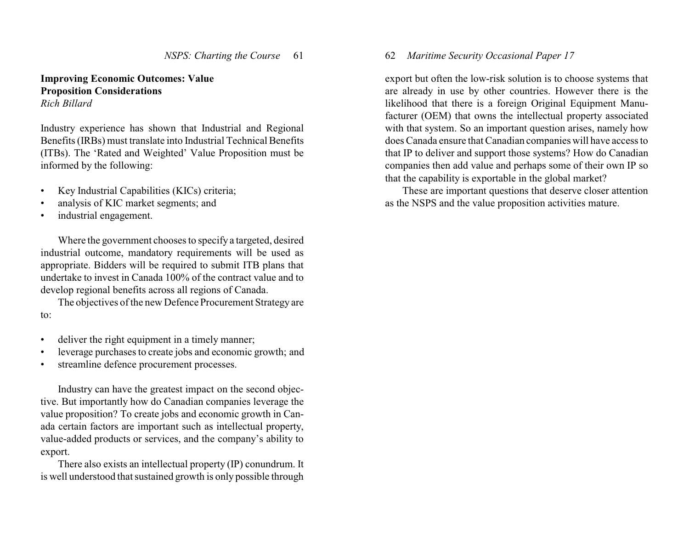# **Improving Economic Outcomes: Value Proposition Considerations** *Rich Billard*

Industry experience has shown that Industrial and Regional Benefits (IRBs) must translate into Industrial Technical Benefits (ITBs). The 'Rated and Weighted' Value Proposition must be informed by the following:

- Key Industrial Capabilities (KICs) criteria;
- analysis of KIC market segments; and
- industrial engagement.

Where the government chooses to specify a targeted, desired industrial outcome, mandatory requirements will be used as appropriate. Bidders will be required to submit ITB plans that undertake to invest in Canada 100% of the contract value and to develop regional benefits across all regions of Canada.

The objectives of the new Defence Procurement Strategy are to:

- deliver the right equipment in a timely manner;
- leverage purchases to create jobs and economic growth; and
- streamline defence procurement processes.

Industry can have the greatest impact on the second objective. But importantly how do Canadian companies leverage the value proposition? To create jobs and economic growth in Canada certain factors are important such as intellectual property, value-added products or services, and the company's ability to export.

There also exists an intellectual property (IP) conundrum. It is well understood that sustained growth is only possible through 62 *Maritime Security Occasional Paper 17*

export but often the low-risk solution is to choose systems that are already in use by other countries. However there is the likelihood that there is a foreign Original Equipment Manufacturer (OEM) that owns the intellectual property associated with that system. So an important question arises, namely how does Canada ensure that Canadian companies will have access to that IP to deliver and support those systems? How do Canadian companies then add value and perhaps some of their own IP so that the capability is exportable in the global market?

These are important questions that deserve closer attention as the NSPS and the value proposition activities mature.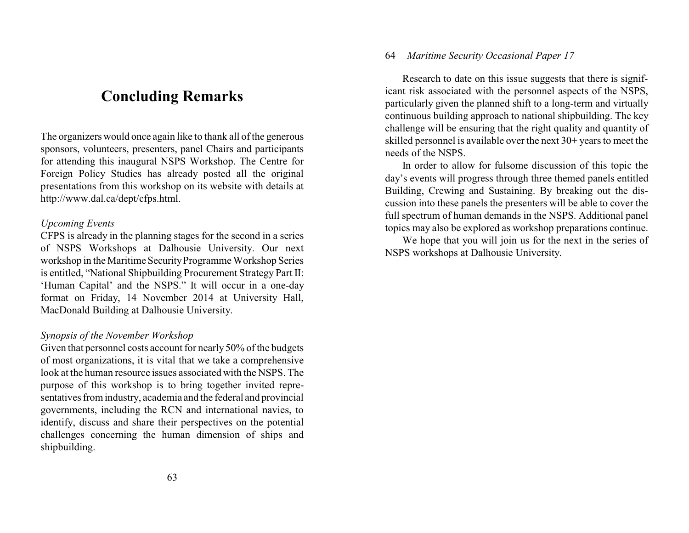# **Concluding Remarks**

The organizers would once again like to thank all of the generous sponsors, volunteers, presenters, panel Chairs and participants for attending this inaugural NSPS Workshop. The Centre for Foreign Policy Studies has already posted all the original presentations from this workshop on its website with details at http://www.dal.ca/dept/cfps.html.

## *Upcoming Events*

CFPS is already in the planning stages for the second in a series of NSPS Workshops at Dalhousie University. Our next workshop in the Maritime Security Programme Workshop Series is entitled, "National Shipbuilding Procurement Strategy Part II: 'Human Capital' and the NSPS." It will occur in a one-day format on Friday, 14 November 2014 at University Hall, MacDonald Building at Dalhousie University.

#### *Synopsis of the November Workshop*

Given that personnel costs account for nearly 50% of the budgets of most organizations, it is vital that we take a comprehensive look at the human resource issues associated with the NSPS. The purpose of this workshop is to bring together invited representatives from industry, academia and the federal and provincial governments, including the RCN and international navies, to identify, discuss and share their perspectives on the potential challenges concerning the human dimension of ships and shipbuilding.

## 64 *Maritime Security Occasional Paper 17*

Research to date on this issue suggests that there is significant risk associated with the personnel aspects of the NSPS, particularly given the planned shift to a long-term and virtually continuous building approach to national shipbuilding. The key challenge will be ensuring that the right quality and quantity of skilled personnel is available over the next 30+ years to meet the needs of the NSPS.

In order to allow for fulsome discussion of this topic the day's events will progress through three themed panels entitled Building, Crewing and Sustaining. By breaking out the discussion into these panels the presenters will be able to cover the full spectrum of human demands in the NSPS. Additional panel topics may also be explored as workshop preparations continue.

We hope that you will join us for the next in the series of NSPS workshops at Dalhousie University.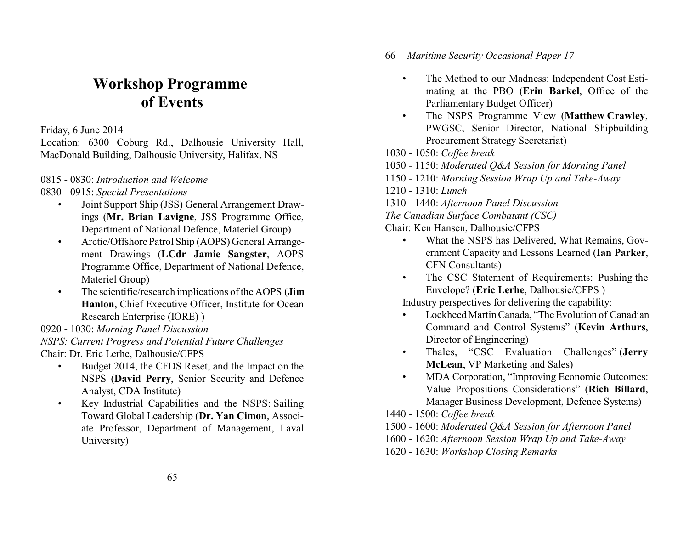# **Workshop Programme of Events**

Friday, 6 June 2014

Location: 6300 Coburg Rd., Dalhousie University Hall, MacDonald Building, Dalhousie University, Halifax, NS

# 0815 - 0830: *Introduction and Welcome*

- 0830 0915: *Special Presentations*
	- Joint Support Ship (JSS) General Arrangement Drawings (**Mr. Brian Lavigne**, JSS Programme Office, Department of National Defence, Materiel Group)
	- Arctic/Offshore Patrol Ship (AOPS) General Arrangement Drawings (**LCdr Jamie Sangster**, AOPS Programme Office, Department of National Defence, Materiel Group)
	- The scientific/research implications of the AOPS (**Jim Hanlon**, Chief Executive Officer, Institute for Ocean Research Enterprise (IORE) )
- 0920 1030: *Morning Panel Discussion*

*NSPS: Current Progress and Potential Future Challenges* Chair: Dr. Eric Lerhe, Dalhousie/CFPS

- Budget 2014, the CFDS Reset, and the Impact on the NSPS (**David Perry**, Senior Security and Defence Analyst, CDA Institute)
- Key Industrial Capabilities and the NSPS: Sailing Toward Global Leadership (**Dr. Yan Cimon**, Associate Professor, Department of Management, Laval University)

66 *Maritime Security Occasional Paper 17*

- The Method to our Madness: Independent Cost Estimating at the PBO (**Erin Barkel**, Office of the Parliamentary Budget Officer)
- The NSPS Programme View (**Matthew Crawley**, PWGSC, Senior Director, National Shipbuilding Procurement Strategy Secretariat)
- 1030 1050: *Coffee break*
- 1050 1150: *Moderated Q&A Session for Morning Panel*
- 1150 1210: *Morning Session Wrap Up and Take-Away*
- 1210 1310: *Lunch*
- 1310 1440: *Afternoon Panel Discussion*
- *The Canadian Surface Combatant (CSC)*
- Chair: Ken Hansen, Dalhousie/CFPS
	- What the NSPS has Delivered, What Remains, Government Capacity and Lessons Learned (**Ian Parker**, CFN Consultants)
	- The CSC Statement of Requirements: Pushing the Envelope? (**Eric Lerhe**, Dalhousie/CFPS )

Industry perspectives for delivering the capability:

- Lockheed Martin Canada, "The Evolution of Canadian Command and Control Systems" (**Kevin Arthurs**, Director of Engineering)
- Thales, "CSC Evaluation Challenges" (**Jerry McLean**, VP Marketing and Sales)
- MDA Corporation, "Improving Economic Outcomes: Value Propositions Considerations" (**Rich Billard**, Manager Business Development, Defence Systems)
- 1440 1500: *Coffee break*
- 1500 1600: *Moderated Q&A Session for Afternoon Panel*
- 1600 1620: *Afternoon Session Wrap Up and Take-Away*
- 1620 1630: *Workshop Closing Remarks*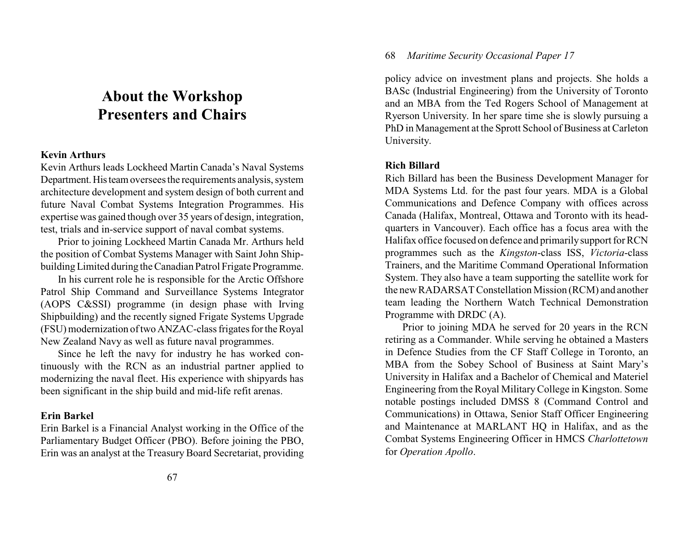# **About the Workshop Presenters and Chairs**

#### **Kevin Arthurs**

Kevin Arthurs leads Lockheed Martin Canada's Naval Systems Department. His team oversees the requirements analysis, system architecture development and system design of both current and future Naval Combat Systems Integration Programmes. His expertise was gained though over 35 years of design, integration, test, trials and in-service support of naval combat systems.

Prior to joining Lockheed Martin Canada Mr. Arthurs held the position of Combat Systems Manager with Saint John ShipbuildingLimited during the Canadian Patrol Frigate Programme.

In his current role he is responsible for the Arctic Offshore Patrol Ship Command and Surveillance Systems Integrator (AOPS C&SSI) programme (in design phase with Irving Shipbuilding) and the recently signed Frigate Systems Upgrade (FSU) modernization of two ANZAC-class frigates for the Royal New Zealand Navy as well as future naval programmes.

Since he left the navy for industry he has worked continuously with the RCN as an industrial partner applied to modernizing the naval fleet. His experience with shipyards has been significant in the ship build and mid-life refit arenas.

## **Erin Barkel**

Erin Barkel is a Financial Analyst working in the Office of the Parliamentary Budget Officer (PBO). Before joining the PBO, Erin was an analyst at the Treasury Board Secretariat, providing

# 68 *Maritime Security Occasional Paper 17*

policy advice on investment plans and projects. She holds a BASc (Industrial Engineering) from the University of Toronto and an MBA from the Ted Rogers School of Management at Ryerson University. In her spare time she is slowly pursuing a PhD in Management at the Sprott School of Business at Carleton University.

## **Rich Billard**

Rich Billard has been the Business Development Manager for MDA Systems Ltd. for the past four years. MDA is a Global Communications and Defence Company with offices across Canada (Halifax, Montreal, Ottawa and Toronto with its headquarters in Vancouver). Each office has a focus area with the Halifax office focused on defence and primarilysupport for RCN programmes such as the *Kingston*-class ISS, *Victoria*-class Trainers, and the Maritime Command Operational Information System. They also have a team supporting the satellite work for the new RADARSAT Constellation Mission (RCM) and another team leading the Northern Watch Technical Demonstration Programme with DRDC (A).

Prior to joining MDA he served for 20 years in the RCN retiring as a Commander. While serving he obtained a Masters in Defence Studies from the CF Staff College in Toronto, an MBA from the Sobey School of Business at Saint Mary's University in Halifax and a Bachelor of Chemical and Materiel Engineering from the Royal MilitaryCollege in Kingston. Some notable postings included DMSS 8 (Command Control and Communications) in Ottawa, Senior Staff Officer Engineering and Maintenance at MARLANT HQ in Halifax, and as the Combat Systems Engineering Officer in HMCS *Charlottetown* for *Operation Apollo*.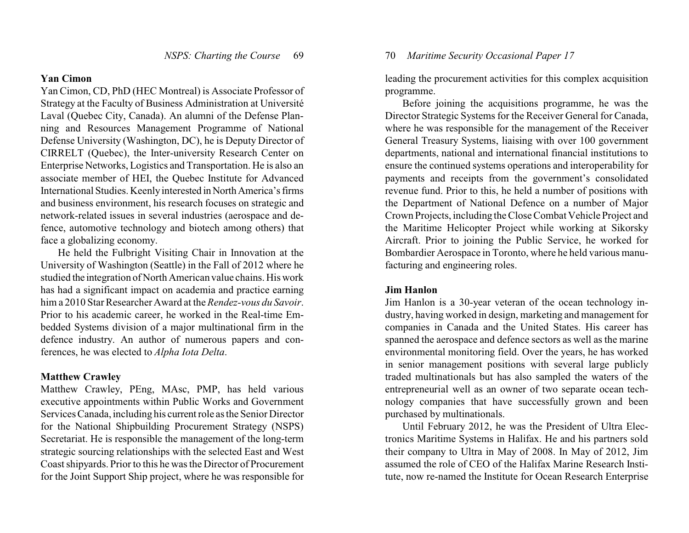# **Yan Cimon**

Yan Cimon, CD, PhD (HEC Montreal) is Associate Professor of Strategy at the Faculty of Business Administration at Université Laval (Quebec City, Canada). An alumni of the Defense Planning and Resources Management Programme of National Defense University (Washington, DC), he is Deputy Director of CIRRELT (Quebec), the Inter-university Research Center on Enterprise Networks, Logistics and Transportation. He is also an associate member of HEI, the Quebec Institute for Advanced International Studies. Keenly interested in North America's firms and business environment, his research focuses on strategic and network-related issues in several industries (aerospace and defence, automotive technology and biotech among others) that face a globalizing economy.

He held the Fulbright Visiting Chair in Innovation at the University of Washington (Seattle) in the Fall of 2012 where he studied the integration of North American value chains. His work has had a significant impact on academia and practice earning him a 2010 Star Researcher Award at the *Rendez-vous du Savoir*. Prior to his academic career, he worked in the Real-time Embedded Systems division of a major multinational firm in the defence industry. An author of numerous papers and conferences, he was elected to *Alpha Iota Delta*.

## **Matthew Crawley**

Matthew Crawley, PEng, MAsc, PMP, has held various executive appointments within Public Works and Government Services Canada, including his current role as the Senior Director for the National Shipbuilding Procurement Strategy (NSPS) Secretariat. He is responsible the management of the long-term strategic sourcing relationships with the selected East and West Coast shipyards. Prior to this he was the Director of Procurement for the Joint Support Ship project, where he was responsible for leading the procurement activities for this complex acquisition programme.

Before joining the acquisitions programme, he was the Director Strategic Systems for the Receiver General for Canada, where he was responsible for the management of the Receiver General Treasury Systems, liaising with over 100 government departments, national and international financial institutions to ensure the continued systems operations and interoperability for payments and receipts from the government's consolidated revenue fund. Prior to this, he held a number of positions with the Department of National Defence on a number of Major Crown Projects, including the Close Combat Vehicle Project and the Maritime Helicopter Project while working at Sikorsky Aircraft. Prior to joining the Public Service, he worked for Bombardier Aerospace in Toronto, where he held various manufacturing and engineering roles.

## **Jim Hanlon**

Jim Hanlon is a 30-year veteran of the ocean technology industry, having worked in design, marketing and management for companies in Canada and the United States. His career has spanned the aerospace and defence sectors as well as the marine environmental monitoring field. Over the years, he has worked in senior management positions with several large publicly traded multinationals but has also sampled the waters of the entrepreneurial well as an owner of two separate ocean technology companies that have successfully grown and been purchased by multinationals.

Until February 2012, he was the President of Ultra Electronics Maritime Systems in Halifax. He and his partners sold their company to Ultra in May of 2008. In May of 2012, Jim assumed the role of CEO of the Halifax Marine Research Institute, now re-named the Institute for Ocean Research Enterprise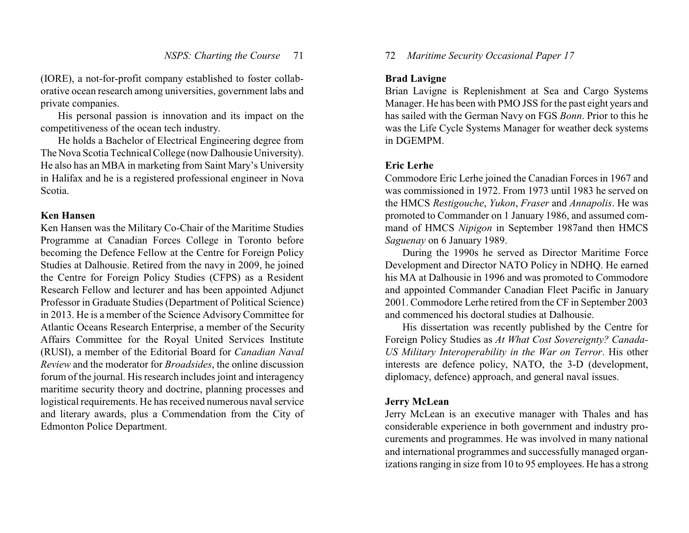(IORE), a not-for-profit company established to foster collaborative ocean research among universities, government labs and private companies.

His personal passion is innovation and its impact on the competitiveness of the ocean tech industry.

He holds a Bachelor of Electrical Engineering degree from The Nova Scotia Technical College (now Dalhousie University). He also has an MBA in marketing from Saint Mary's University in Halifax and he is a registered professional engineer in Nova Scotia.

#### **Ken Hansen**

Ken Hansen was the Military Co-Chair of the Maritime Studies Programme at Canadian Forces College in Toronto before becoming the Defence Fellow at the Centre for Foreign Policy Studies at Dalhousie. Retired from the navy in 2009, he joined the Centre for Foreign Policy Studies (CFPS) as a Resident Research Fellow and lecturer and has been appointed Adjunct Professor in Graduate Studies (Department of Political Science) in 2013. He is a member of the Science Advisory Committee for Atlantic Oceans Research Enterprise, a member of the Security Affairs Committee for the Royal United Services Institute (RUSI), a member of the Editorial Board for *Canadian Naval Review* and the moderator for *Broadsides*, the online discussion forum of the journal. His research includes joint and interagency maritime security theory and doctrine, planning processes and logistical requirements. He has received numerous naval service and literary awards, plus a Commendation from the City of Edmonton Police Department.

# 72 *Maritime Security Occasional Paper 17*

# **Brad Lavigne**

Brian Lavigne is Replenishment at Sea and Cargo Systems Manager. He has been with PMO JSS for the past eight years and has sailed with the German Navy on FGS *Bonn*. Prior to this he was the Life Cycle Systems Manager for weather deck systems in DGEMPM.

# **Eric Lerhe**

Commodore Eric Lerhe joined the Canadian Forces in 1967 and was commissioned in 1972. From 1973 until 1983 he served on the HMCS *Restigouche*, *Yukon*, *Fraser* and *Annapolis*. He was promoted to Commander on 1 January 1986, and assumed command of HMCS *Nipigon* in September 1987and then HMCS *Saguenay* on 6 January 1989.

During the 1990s he served as Director Maritime Force Development and Director NATO Policy in NDHQ. He earned his MA at Dalhousie in 1996 and was promoted to Commodore and appointed Commander Canadian Fleet Pacific in January 2001. Commodore Lerhe retired from the CF in September 2003 and commenced his doctoral studies at Dalhousie.

His dissertation was recently published by the Centre for Foreign Policy Studies as *At What Cost Sovereignty? Canada-US Military Interoperability in the War on Terror*. His other interests are defence policy, NATO, the 3-D (development, diplomacy, defence) approach, and general naval issues.

# **Jerry McLean**

Jerry McLean is an executive manager with Thales and has considerable experience in both government and industry procurements and programmes. He was involved in many national and international programmes and successfully managed organizations ranging in size from 10 to 95 employees. He has a strong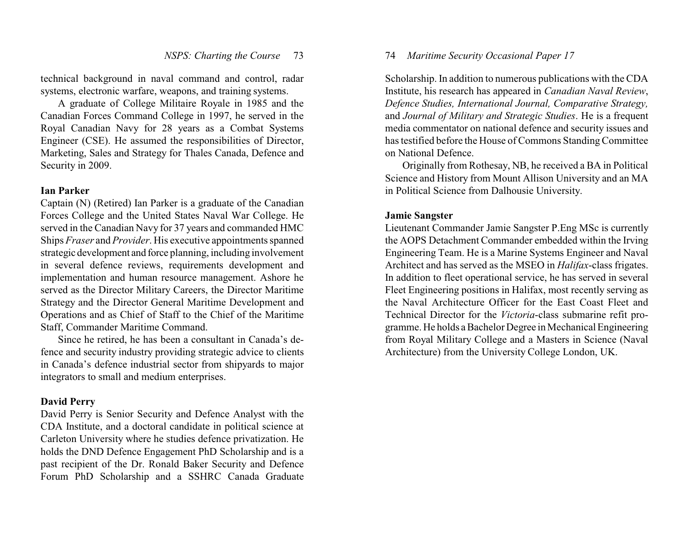technical background in naval command and control, radar systems, electronic warfare, weapons, and training systems.

A graduate of College Militaire Royale in 1985 and the Canadian Forces Command College in 1997, he served in the Royal Canadian Navy for 28 years as a Combat Systems Engineer (CSE). He assumed the responsibilities of Director, Marketing, Sales and Strategy for Thales Canada, Defence and Security in 2009.

# **Ian Parker**

Captain (N) (Retired) Ian Parker is a graduate of the Canadian Forces College and the United States Naval War College. He served in the Canadian Navy for 37 years and commanded HMC Ships *Fraser* and *Provider*. His executive appointments spanned strategic development and force planning, including involvement in several defence reviews, requirements development and implementation and human resource management. Ashore he served as the Director Military Careers, the Director Maritime Strategy and the Director General Maritime Development and Operations and as Chief of Staff to the Chief of the Maritime Staff, Commander Maritime Command.

Since he retired, he has been a consultant in Canada's defence and security industry providing strategic advice to clients in Canada's defence industrial sector from shipyards to major integrators to small and medium enterprises.

# **David Perry**

David Perry is Senior Security and Defence Analyst with the CDA Institute, and a doctoral candidate in political science at Carleton University where he studies defence privatization. He holds the DND Defence Engagement PhD Scholarship and is a past recipient of the Dr. Ronald Baker Security and Defence Forum PhD Scholarship and a SSHRC Canada Graduate

# 74 *Maritime Security Occasional Paper 17*

Scholarship. In addition to numerous publications with the CDA Institute, his research has appeared in *Canadian Naval Review*, *Defence Studies, International Journal, Comparative Strategy,* and *Journal of Military and Strategic Studies*. He is a frequent media commentator on national defence and security issues and has testified before the House of Commons Standing Committee on National Defence.

Originally from Rothesay, NB, he received a BA in Political Science and History from Mount Allison University and an MA in Political Science from Dalhousie University.

#### **Jamie Sangster**

Lieutenant Commander Jamie Sangster P.Eng MSc is currently the AOPS Detachment Commander embedded within the Irving Engineering Team. He is a Marine Systems Engineer and Naval Architect and has served as the MSEO in *Halifax*-class frigates. In addition to fleet operational service, he has served in several Fleet Engineering positions in Halifax, most recently serving as the Naval Architecture Officer for the East Coast Fleet and Technical Director for the *Victoria*-class submarine refit programme. He holds a Bachelor Degree in Mechanical Engineering from Royal Military College and a Masters in Science (Naval Architecture) from the University College London, UK.